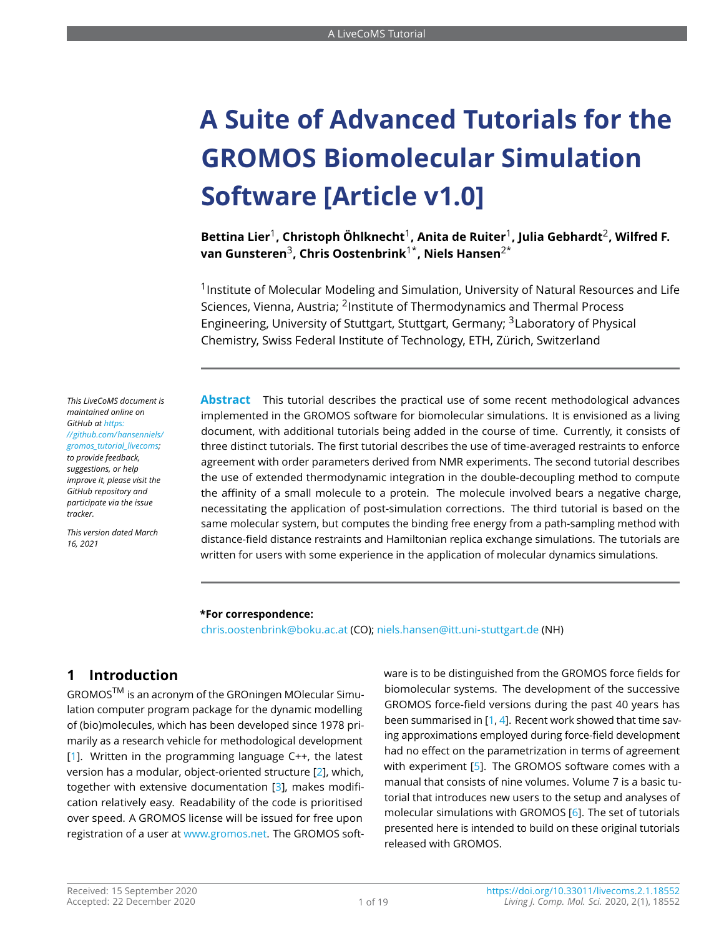# **A Suite of Advanced Tutorials for the GROMOS Biomolecular Simulation Software [Article v1.0]**

**Bettina Lier**<sup>1</sup> **, Christoph Öhlknecht**<sup>1</sup> **, Anita de Ruiter**<sup>1</sup> **, Julia Gebhardt**<sup>2</sup> **, Wilfred F. van Gunsteren**<sup>3</sup> **, Chris Oostenbrink**1\***, Niels Hansen**2\*

<sup>1</sup> Institute of Molecular Modeling and Simulation, University of Natural Resources and Life Sciences, Vienna, Austria: <sup>2</sup>Institute of Thermodynamics and Thermal Process Engineering, University of Stuttgart, Stuttgart, Germany; <sup>3</sup>Laboratory of Physical Chemistry, Swiss Federal Institute of Technology, ETH, Zürich, Switzerland

**Abstract** This tutorial describes the practical use of some recent methodological advances implemented in the GROMOS software for biomolecular simulations. It is envisioned as a living document, with additional tutorials being added in the course of time. Currently, it consists of three distinct tutorials. The first tutorial describes the use of time-averaged restraints to enforce agreement with order parameters derived from NMR experiments. The second tutorial describes the use of extended thermodynamic integration in the double-decoupling method to compute the affinity of a small molecule to a protein. The molecule involved bears a negative charge, necessitating the application of post-simulation corrections. The third tutorial is based on the same molecular system, but computes the binding free energy from a path-sampling method with distance-field distance restraints and Hamiltonian replica exchange simulations. The tutorials are written for users with some experience in the application of molecular dynamics simulations.

#### **\*For correspondence:**

<chris.oostenbrink@boku.ac.at> (CO); <niels.hansen@itt.uni-stuttgart.de> (NH)

## **1 Introduction**

GROMOSTM is an acronym of the GROningen MOlecular Simulation computer program package for the dynamic modelling of (bio)molecules, which has been developed since 1978 primarily as a research vehicle for methodological development  $[1]$ . Written in the programming language  $C++$ , the latest version has a modular, object-oriented structure [\[2\]](#page-17-1), which, together with extensive documentation [\[3\]](#page-17-2), makes modification relatively easy. Readability of the code is prioritised over speed. A GROMOS license will be issued for free upon registration of a user at [www.gromos.net.](www.gromos.net) The GROMOS software is to be distinguished from the GROMOS force fields for biomolecular systems. The development of the successive GROMOS force-field versions during the past 40 years has been summarised in [\[1,](#page-17-0) [4\]](#page-17-3). Recent work showed that time saving approximations employed during force-field development had no effect on the parametrization in terms of agreement with experiment [\[5\]](#page-17-4). The GROMOS software comes with a manual that consists of nine volumes. Volume 7 is a basic tutorial that introduces new users to the setup and analyses of molecular simulations with GROMOS [\[6\]](#page-17-5). The set of tutorials presented here is intended to build on these original tutorials released with GROMOS.

*maintained online on GitHub at [https:](https://github.com/hansenniels/gromos_tutorial_livecoms) [//github.com/hansenniels/](https://github.com/hansenniels/gromos_tutorial_livecoms) [gromos\\_tutorial\\_livecoms;](https://github.com/hansenniels/gromos_tutorial_livecoms) to provide feedback, suggestions, or help improve it, please visit the GitHub repository and participate via the issue tracker.*

*This LiveCoMS document is*

*This version dated March 16, 2021*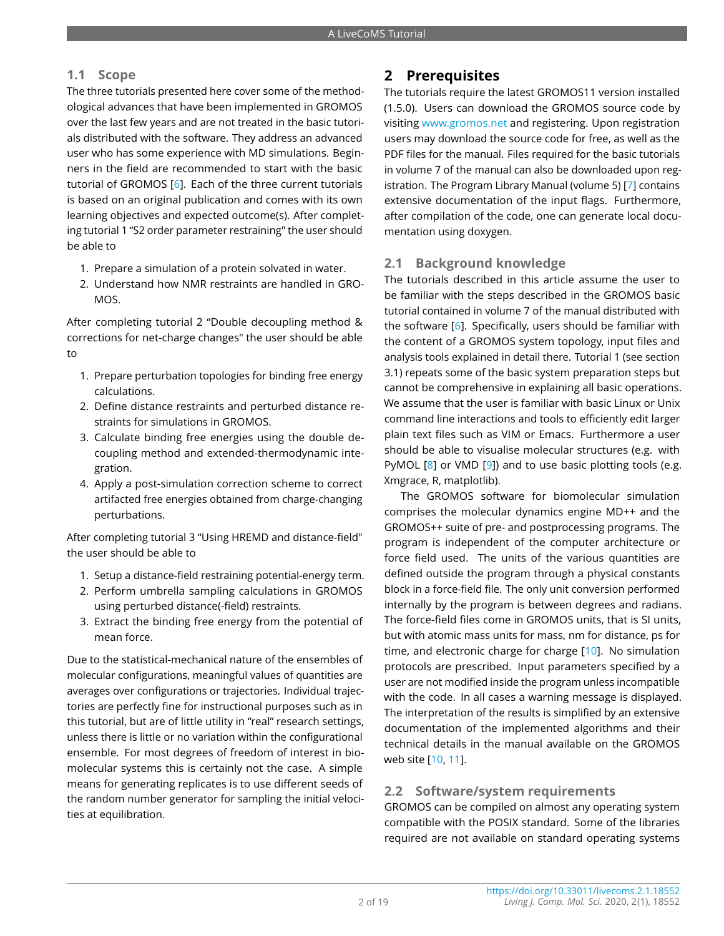## **1.1 Scope**

The three tutorials presented here cover some of the methodological advances that have been implemented in GROMOS over the last few years and are not treated in the basic tutorials distributed with the software. They address an advanced user who has some experience with MD simulations. Beginners in the field are recommended to start with the basic tutorial of GROMOS [\[6\]](#page-17-5). Each of the three current tutorials is based on an original publication and comes with its own learning objectives and expected outcome(s). After completing tutorial 1 "S2 order parameter restraining" the user should be able to

- 1. Prepare a simulation of a protein solvated in water.
- 2. Understand how NMR restraints are handled in GRO-MOS.

After completing tutorial 2 "Double decoupling method & corrections for net-charge changes" the user should be able to

- 1. Prepare perturbation topologies for binding free energy calculations.
- 2. Define distance restraints and perturbed distance restraints for simulations in GROMOS.
- 3. Calculate binding free energies using the double decoupling method and extended-thermodynamic integration.
- 4. Apply a post-simulation correction scheme to correct artifacted free energies obtained from charge-changing perturbations.

After completing tutorial 3 "Using HREMD and distance-field" the user should be able to

- 1. Setup a distance-field restraining potential-energy term.
- 2. Perform umbrella sampling calculations in GROMOS using perturbed distance(-field) restraints.
- 3. Extract the binding free energy from the potential of mean force.

Due to the statistical-mechanical nature of the ensembles of molecular configurations, meaningful values of quantities are averages over configurations or trajectories. Individual trajectories are perfectly fine for instructional purposes such as in this tutorial, but are of little utility in "real" research settings, unless there is little or no variation within the configurational ensemble. For most degrees of freedom of interest in biomolecular systems this is certainly not the case. A simple means for generating replicates is to use different seeds of the random number generator for sampling the initial velocities at equilibration.

## **2 Prerequisites**

The tutorials require the latest GROMOS11 version installed (1.5.0). Users can download the GROMOS source code by visiting <www.gromos.net> and registering. Upon registration users may download the source code for free, as well as the PDF files for the manual. Files required for the basic tutorials in volume 7 of the manual can also be downloaded upon registration. The Program Library Manual (volume 5) [\[7\]](#page-17-6) contains extensive documentation of the input flags. Furthermore, after compilation of the code, one can generate local documentation using doxygen.

## **2.1 Background knowledge**

The tutorials described in this article assume the user to be familiar with the steps described in the GROMOS basic tutorial contained in volume 7 of the manual distributed with the software [\[6\]](#page-17-5). Specifically, users should be familiar with the content of a GROMOS system topology, input files and analysis tools explained in detail there. Tutorial 1 (see section 3.1) repeats some of the basic system preparation steps but cannot be comprehensive in explaining all basic operations. We assume that the user is familiar with basic Linux or Unix command line interactions and tools to efficiently edit larger plain text files such as VIM or Emacs. Furthermore a user should be able to visualise molecular structures (e.g. with PyMOL [\[8\]](#page-17-7) or VMD [\[9\]](#page-17-8)) and to use basic plotting tools (e.g. Xmgrace, R, matplotlib).

The GROMOS software for biomolecular simulation comprises the molecular dynamics engine MD++ and the GROMOS++ suite of pre- and postprocessing programs. The program is independent of the computer architecture or force field used. The units of the various quantities are defined outside the program through a physical constants block in a force-field file. The only unit conversion performed internally by the program is between degrees and radians. The force-field files come in GROMOS units, that is SI units, but with atomic mass units for mass, nm for distance, ps for time, and electronic charge for charge [\[10\]](#page-17-9). No simulation protocols are prescribed. Input parameters specified by a user are not modified inside the program unless incompatible with the code. In all cases a warning message is displayed. The interpretation of the results is simplified by an extensive documentation of the implemented algorithms and their technical details in the manual available on the GROMOS web site [\[10,](#page-17-9) [11\]](#page-17-10).

## **2.2 Software/system requirements**

GROMOS can be compiled on almost any operating system compatible with the POSIX standard. Some of the libraries required are not available on standard operating systems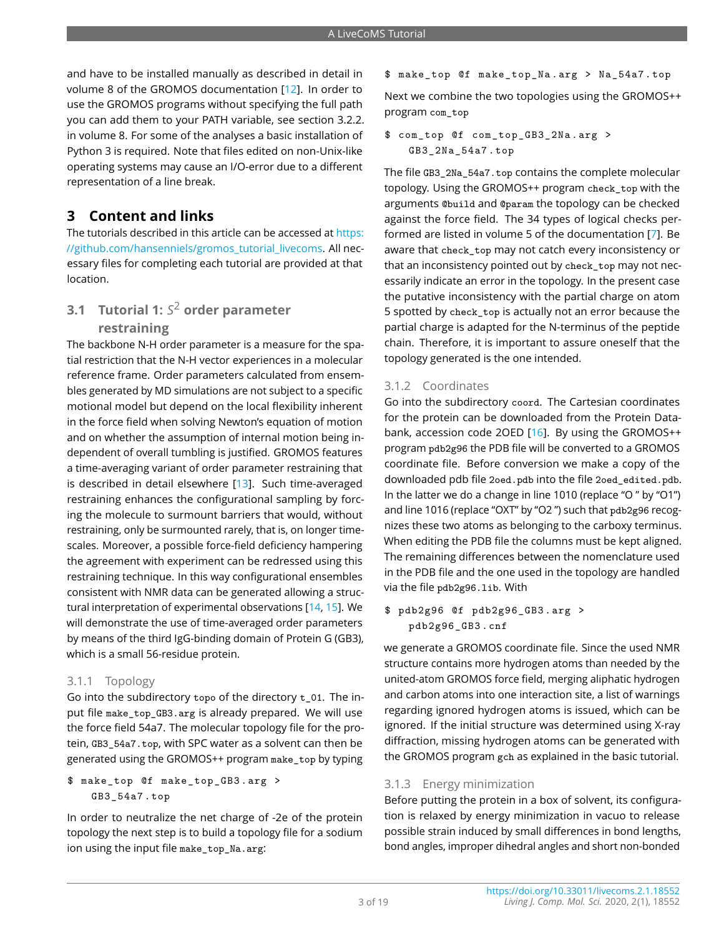and have to be installed manually as described in detail in volume 8 of the GROMOS documentation [\[12\]](#page-17-11). In order to use the GROMOS programs without specifying the full path you can add them to your PATH variable, see section 3.2.2. in volume 8. For some of the analyses a basic installation of Python 3 is required. Note that files edited on non-Unix-like operating systems may cause an I/O-error due to a different representation of a line break.

## **3 Content and links**

The tutorials described in this article can be accessed at [https:](https://github.com/hansenniels/gromos_tutorial_livecoms) [//github.com/hansenniels/gromos\\_tutorial\\_livecoms.](https://github.com/hansenniels/gromos_tutorial_livecoms) All necessary files for completing each tutorial are provided at that location.

## **3.1 Tutorial 1:** *S* 2 **order parameter**

## **restraining**

The backbone N-H order parameter is a measure for the spatial restriction that the N-H vector experiences in a molecular reference frame. Order parameters calculated from ensembles generated by MD simulations are not subject to a specific motional model but depend on the local flexibility inherent in the force field when solving Newton's equation of motion and on whether the assumption of internal motion being independent of overall tumbling is justified. GROMOS features a time-averaging variant of order parameter restraining that is described in detail elsewhere [\[13\]](#page-17-12). Such time-averaged restraining enhances the configurational sampling by forcing the molecule to surmount barriers that would, without restraining, only be surmounted rarely, that is, on longer timescales. Moreover, a possible force-field deficiency hampering the agreement with experiment can be redressed using this restraining technique. In this way configurational ensembles consistent with NMR data can be generated allowing a structural interpretation of experimental observations [\[14,](#page-17-13) [15\]](#page-17-14). We will demonstrate the use of time-averaged order parameters by means of the third IgG-binding domain of Protein G (GB3), which is a small 56-residue protein.

## 3.1.1 Topology

Go into the subdirectory topo of the directory t\_01. The input file make\_top\_GB3.arg is already prepared. We will use the force field 54a7. The molecular topology file for the protein, GB3\_54a7.top, with SPC water as a solvent can then be generated using the GROMOS++ program make\_top by typing

#### \$ make\_top @f make\_top\_GB3 . arg > GB3\_54a7 . top

In order to neutralize the net charge of -2e of the protein topology the next step is to build a topology file for a sodium ion using the input file make\_top\_Na.arg:

#### \$ make\_top @f make\_top\_Na . arg > Na\_54a7 . top

Next we combine the two topologies using the GROMOS++ program com\_top

#### \$ com\_top @f com\_top\_GB3\_2Na . arg > GB3\_2Na\_54a7 . top

The file GB3\_2Na\_54a7.top contains the complete molecular topology. Using the GROMOS++ program check\_top with the arguments @build and @param the topology can be checked against the force field. The 34 types of logical checks performed are listed in volume 5 of the documentation [\[7\]](#page-17-6). Be aware that check top may not catch every inconsistency or that an inconsistency pointed out by check\_top may not necessarily indicate an error in the topology. In the present case the putative inconsistency with the partial charge on atom 5 spotted by check\_top is actually not an error because the partial charge is adapted for the N-terminus of the peptide chain. Therefore, it is important to assure oneself that the topology generated is the one intended.

## 3.1.2 Coordinates

Go into the subdirectory coord. The Cartesian coordinates for the protein can be downloaded from the Protein Databank, accession code 2OED [\[16\]](#page-17-15). By using the GROMOS++ program pdb2g96 the PDB file will be converted to a GROMOS coordinate file. Before conversion we make a copy of the downloaded pdb file 2oed.pdb into the file 2oed\_edited.pdb. In the latter we do a change in line 1010 (replace "O " by "O1") and line 1016 (replace "OXT" by "O2 ") such that pdb2g96 recognizes these two atoms as belonging to the carboxy terminus. When editing the PDB file the columns must be kept aligned. The remaining differences between the nomenclature used in the PDB file and the one used in the topology are handled via the file pdb2g96.lib. With

```
$ pdb2g96 @f pdb2g96_GB3 . arg >
   pdb2g96_GB3 . cnf
```
we generate a GROMOS coordinate file. Since the used NMR structure contains more hydrogen atoms than needed by the united-atom GROMOS force field, merging aliphatic hydrogen and carbon atoms into one interaction site, a list of warnings regarding ignored hydrogen atoms is issued, which can be ignored. If the initial structure was determined using X-ray diffraction, missing hydrogen atoms can be generated with the GROMOS program gch as explained in the basic tutorial.

#### 3.1.3 Energy minimization

Before putting the protein in a box of solvent, its configuration is relaxed by energy minimization in vacuo to release possible strain induced by small differences in bond lengths, bond angles, improper dihedral angles and short non-bonded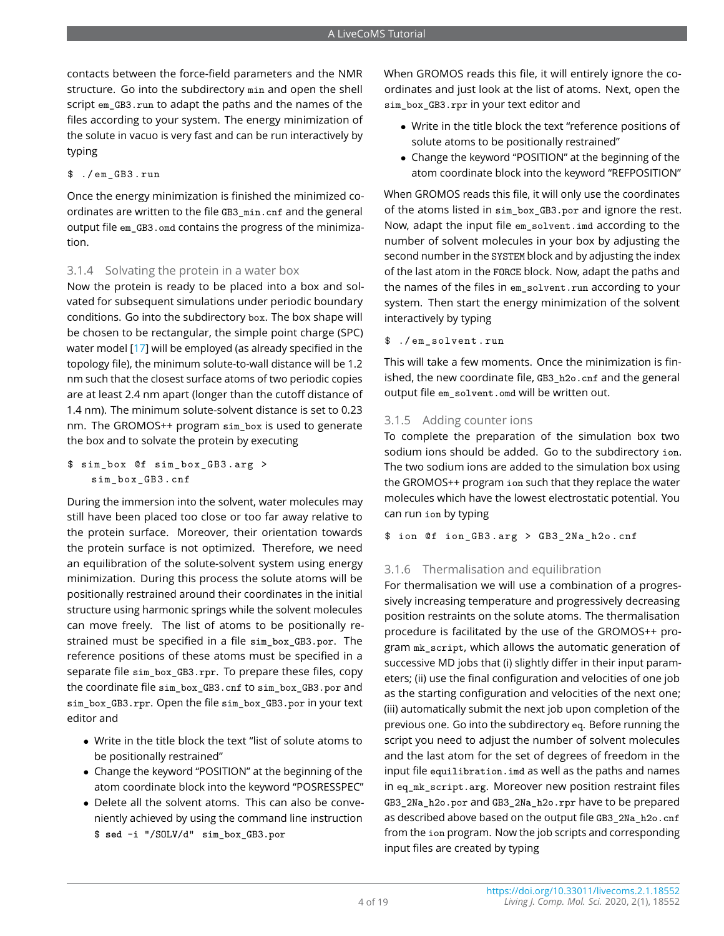contacts between the force-field parameters and the NMR structure. Go into the subdirectory min and open the shell script em\_GB3.run to adapt the paths and the names of the files according to your system. The energy minimization of the solute in vacuo is very fast and can be run interactively by typing

\$ ./ em\_GB3 . run

Once the energy minimization is finished the minimized coordinates are written to the file GB3\_min.cnf and the general output file em\_GB3.omd contains the progress of the minimization.

#### 3.1.4 Solvating the protein in a water box

Now the protein is ready to be placed into a box and solvated for subsequent simulations under periodic boundary conditions. Go into the subdirectory box. The box shape will be chosen to be rectangular, the simple point charge (SPC) water model [\[17\]](#page-17-16) will be employed (as already specified in the topology file), the minimum solute-to-wall distance will be 1.2 nm such that the closest surface atoms of two periodic copies are at least 2.4 nm apart (longer than the cutoff distance of 1.4 nm). The minimum solute-solvent distance is set to 0.23 nm. The GROMOS++ program sim box is used to generate the box and to solvate the protein by executing

```
$ sim_box @f sim_box_GB3 . arg >
    sim_box_GB3 . cnf
```
During the immersion into the solvent, water molecules may still have been placed too close or too far away relative to the protein surface. Moreover, their orientation towards the protein surface is not optimized. Therefore, we need an equilibration of the solute-solvent system using energy minimization. During this process the solute atoms will be positionally restrained around their coordinates in the initial structure using harmonic springs while the solvent molecules can move freely. The list of atoms to be positionally restrained must be specified in a file sim\_box\_GB3.por. The reference positions of these atoms must be specified in a separate file sim box GB3.rpr. To prepare these files, copy the coordinate file sim\_box\_GB3.cnf to sim\_box\_GB3.por and sim\_box\_GB3.rpr. Open the file sim\_box\_GB3.por in your text editor and

- Write in the title block the text "list of solute atoms to be positionally restrained"
- Change the keyword "POSITION" at the beginning of the atom coordinate block into the keyword "POSRESSPEC"
- Delete all the solvent atoms. This can also be conveniently achieved by using the command line instruction \$ **sed** -i "/SOLV/d" sim\_box\_GB3.por

When GROMOS reads this file, it will entirely ignore the coordinates and just look at the list of atoms. Next, open the sim\_box\_GB3.rpr in your text editor and

- Write in the title block the text "reference positions of solute atoms to be positionally restrained"
- Change the keyword "POSITION" at the beginning of the atom coordinate block into the keyword "REFPOSITION"

When GROMOS reads this file, it will only use the coordinates of the atoms listed in sim\_box\_GB3.por and ignore the rest. Now, adapt the input file em\_solvent.imd according to the number of solvent molecules in your box by adjusting the second number in the SYSTEM block and by adjusting the index of the last atom in the FORCE block. Now, adapt the paths and the names of the files in em\_solvent.run according to your system. Then start the energy minimization of the solvent interactively by typing

#### \$ ./ em\_solvent . run

This will take a few moments. Once the minimization is finished, the new coordinate file, GB3\_h2o.cnf and the general output file em\_solvent.omd will be written out.

#### 3.1.5 Adding counter ions

To complete the preparation of the simulation box two sodium ions should be added. Go to the subdirectory ion. The two sodium ions are added to the simulation box using the GROMOS++ program ion such that they replace the water molecules which have the lowest electrostatic potential. You can run ion by typing

\$ ion @f ion\_GB3 . arg > GB3\_2Na\_h2o . cnf

#### 3.1.6 Thermalisation and equilibration

For thermalisation we will use a combination of a progressively increasing temperature and progressively decreasing position restraints on the solute atoms. The thermalisation procedure is facilitated by the use of the GROMOS++ program mk\_script, which allows the automatic generation of successive MD jobs that (i) slightly differ in their input parameters; (ii) use the final configuration and velocities of one job as the starting configuration and velocities of the next one; (iii) automatically submit the next job upon completion of the previous one. Go into the subdirectory eq. Before running the script you need to adjust the number of solvent molecules and the last atom for the set of degrees of freedom in the input file equilibration.imd as well as the paths and names in eq\_mk\_script.arg. Moreover new position restraint files GB3\_2Na\_h2o.por and GB3\_2Na\_h2o.rpr have to be prepared as described above based on the output file GB3\_2Na\_h2o.cnf from the ion program. Now the job scripts and corresponding input files are created by typing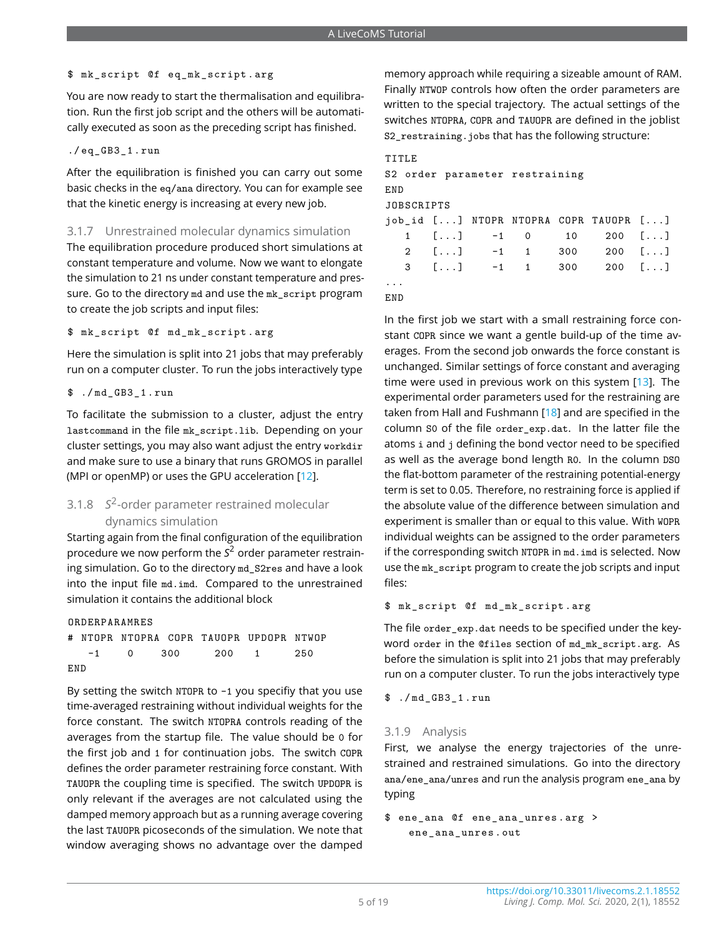#### \$ mk\_script @f eq\_mk\_script . arg

You are now ready to start the thermalisation and equilibration. Run the first job script and the others will be automatically executed as soon as the preceding script has finished.

#### ./ eq\_GB3\_1 . run

After the equilibration is finished you can carry out some basic checks in the eq/ana directory. You can for example see that the kinetic energy is increasing at every new job.

#### 3.1.7 Unrestrained molecular dynamics simulation

The equilibration procedure produced short simulations at constant temperature and volume. Now we want to elongate the simulation to 21 ns under constant temperature and pressure. Go to the directory md and use the mk\_script program to create the job scripts and input files:

\$ mk\_script @f md\_mk\_script . arg

Here the simulation is split into 21 jobs that may preferably run on a computer cluster. To run the jobs interactively type

\$ ./ md\_GB3\_1 . run

To facilitate the submission to a cluster, adjust the entry lastcommand in the file mk\_script.lib. Depending on your cluster settings, you may also want adjust the entry workdir and make sure to use a binary that runs GROMOS in parallel (MPI or openMP) or uses the GPU acceleration [\[12\]](#page-17-11).

## 3.1.8 *S* 2 -order parameter restrained molecular dynamics simulation

Starting again from the final configuration of the equilibration procedure we now perform the *S* <sup>2</sup> order parameter restraining simulation. Go to the directory md S2res and have a look into the input file md.imd. Compared to the unrestrained simulation it contains the additional block

ORDERPARAMRES

|     |  | # NTOPR NTOPRA COPR TAUOPR UPDOPR NTWOP |  |
|-----|--|-----------------------------------------|--|
|     |  | $-1$ 0 300 200 1 250                    |  |
| END |  |                                         |  |

By setting the switch NTOPR to -1 you specifiy that you use time-averaged restraining without individual weights for the force constant. The switch NTOPRA controls reading of the averages from the startup file. The value should be 0 for the first job and 1 for continuation jobs. The switch COPR defines the order parameter restraining force constant. With TAUOPR the coupling time is specified. The switch UPDOPR is only relevant if the averages are not calculated using the damped memory approach but as a running average covering the last TAUOPR picoseconds of the simulation. We note that window averaging shows no advantage over the damped

memory approach while requiring a sizeable amount of RAM. Finally NTWOP controls how often the order parameters are written to the special trajectory. The actual settings of the switches NTOPRA, COPR and TAUOPR are defined in the joblist S2\_restraining.jobs that has the following structure:

3 [...] -1 1 300 200 [...]

#### TITLE

|     |            |  |  |  | S2 order parameter restraining |  |                                                                       |  |  |  |  |  |
|-----|------------|--|--|--|--------------------------------|--|-----------------------------------------------------------------------|--|--|--|--|--|
| END |            |  |  |  |                                |  |                                                                       |  |  |  |  |  |
|     | JOBSCRIPTS |  |  |  |                                |  |                                                                       |  |  |  |  |  |
|     |            |  |  |  |                                |  | job_id [] NTOPR NTOPRA COPR TAUOPR []                                 |  |  |  |  |  |
|     |            |  |  |  |                                |  | $1 \quad [\ldots] \quad -1 \quad 0 \quad 10 \quad 200 \quad [\ldots]$ |  |  |  |  |  |
|     |            |  |  |  |                                |  | 2 $[]$ -1 1 300 200 $[]$                                              |  |  |  |  |  |

... END

In the first job we start with a small restraining force constant COPR since we want a gentle build-up of the time averages. From the second job onwards the force constant is unchanged. Similar settings of force constant and averaging time were used in previous work on this system [\[13\]](#page-17-12). The experimental order parameters used for the restraining are taken from Hall and Fushmann [\[18\]](#page-17-17) and are specified in the column S0 of the file order\_exp.dat. In the latter file the atoms i and j defining the bond vector need to be specified as well as the average bond length R0. In the column DSO the flat-bottom parameter of the restraining potential-energy term is set to 0.05. Therefore, no restraining force is applied if the absolute value of the difference between simulation and experiment is smaller than or equal to this value. With WOPR individual weights can be assigned to the order parameters if the corresponding switch NTOPR in md. imd is selected. Now use the mk\_script program to create the job scripts and input files:

\$ mk\_script @f md\_mk\_script . arg

The file order\_exp.dat needs to be specified under the keyword order in the @files section of md\_mk\_script.arg. As before the simulation is split into 21 jobs that may preferably run on a computer cluster. To run the jobs interactively type

\$ ./ md\_GB3\_1 . run

#### 3.1.9 Analysis

First, we analyse the energy trajectories of the unrestrained and restrained simulations. Go into the directory ana/ene\_ana/unres and run the analysis program ene\_ana by typing

```
$ ene_ana @f ene_ana_unres . arg >
   ene_ana_unres . out
```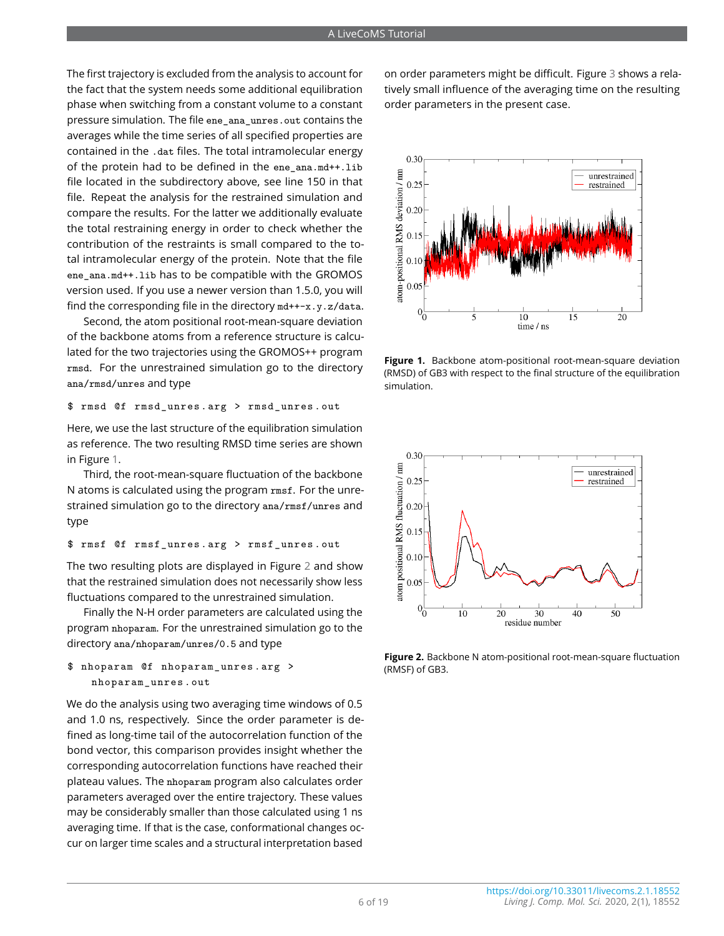The first trajectory is excluded from the analysis to account for the fact that the system needs some additional equilibration phase when switching from a constant volume to a constant pressure simulation. The file ene\_ana\_unres.out contains the averages while the time series of all specified properties are contained in the .dat files. The total intramolecular energy of the protein had to be defined in the ene ana.md++.lib file located in the subdirectory above, see line 150 in that file. Repeat the analysis for the restrained simulation and compare the results. For the latter we additionally evaluate the total restraining energy in order to check whether the contribution of the restraints is small compared to the total intramolecular energy of the protein. Note that the file ene\_ana.md++.lib has to be compatible with the GROMOS version used. If you use a newer version than 1.5.0, you will find the corresponding file in the directory md++-x.y.z/data.

Second, the atom positional root-mean-square deviation of the backbone atoms from a reference structure is calculated for the two trajectories using the GROMOS++ program rmsd. For the unrestrained simulation go to the directory ana/rmsd/unres and type

\$ rmsd @f rmsd\_unres . arg > rmsd\_unres . out

Here, we use the last structure of the equilibration simulation as reference. The two resulting RMSD time series are shown in Figure [1.](#page-5-0)

Third, the root-mean-square fluctuation of the backbone N atoms is calculated using the program rmsf. For the unrestrained simulation go to the directory ana/rmsf/unres and type

\$ rmsf @f rmsf\_unres . arg > rmsf\_unres . out

The two resulting plots are displayed in Figure [2](#page-5-1) and show that the restrained simulation does not necessarily show less fluctuations compared to the unrestrained simulation.

Finally the N-H order parameters are calculated using the program nhoparam. For the unrestrained simulation go to the directory ana/nhoparam/unres/0.5 and type

```
$ nhoparam @f nhoparam_unres . arg >
   nhoparam_unres . out
```
We do the analysis using two averaging time windows of 0.5 and 1.0 ns, respectively. Since the order parameter is defined as long-time tail of the autocorrelation function of the bond vector, this comparison provides insight whether the corresponding autocorrelation functions have reached their plateau values. The nhoparam program also calculates order parameters averaged over the entire trajectory. These values may be considerably smaller than those calculated using 1 ns averaging time. If that is the case, conformational changes occur on larger time scales and a structural interpretation based

on order parameters might be difficult. Figure [3](#page-6-0) shows a relatively small influence of the averaging time on the resulting order parameters in the present case.

<span id="page-5-0"></span>

**Figure 1.** Backbone atom-positional root-mean-square deviation (RMSD) of GB3 with respect to the final structure of the equilibration simulation.

<span id="page-5-1"></span>

**Figure 2.** Backbone N atom-positional root-mean-square fluctuation (RMSF) of GB3.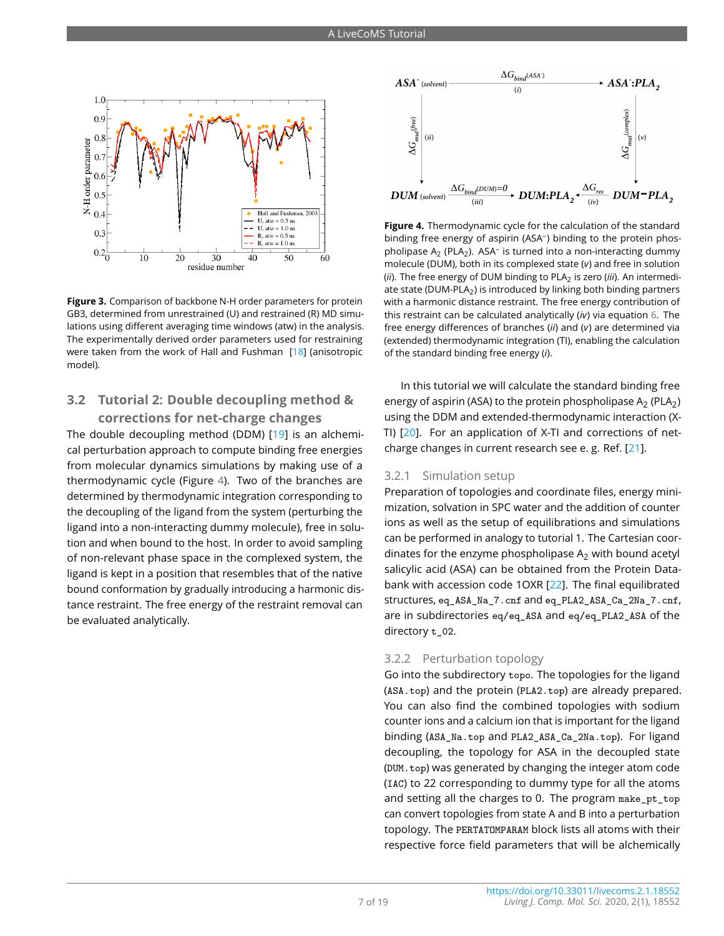<span id="page-6-0"></span>

**Figure 3.** Comparison of backbone N-H order parameters for protein GB3, determined from unrestrained (U) and restrained (R) MD simulations using different averaging time windows (atw) in the analysis. The experimentally derived order parameters used for restraining were taken from the work of Hall and Fushman [\[18\]](#page-17-17) (anisotropic model).

## **3.2 Tutorial 2: Double decoupling method & corrections for net-charge changes**

The double decoupling method (DDM) [\[19\]](#page-17-18) is an alchemical perturbation approach to compute binding free energies from molecular dynamics simulations by making use of a thermodynamic cycle (Figure [4\)](#page-6-1). Two of the branches are determined by thermodynamic integration corresponding to the decoupling of the ligand from the system (perturbing the ligand into a non-interacting dummy molecule), free in solution and when bound to the host. In order to avoid sampling of non-relevant phase space in the complexed system, the ligand is kept in a position that resembles that of the native bound conformation by gradually introducing a harmonic distance restraint. The free energy of the restraint removal can be evaluated analytically.

<span id="page-6-1"></span>

**Figure 4.** Thermodynamic cycle for the calculation of the standard binding free energy of aspirin (ASA– ) binding to the protein phospholipase  $A_2$  (PLA<sub>2</sub>). ASA<sup>-</sup> is turned into a non-interacting dummy molecule (DUM), both in its complexed state (*v*) and free in solution (*ii*). The free energy of DUM binding to PLA<sub>2</sub> is zero (*iii*). An intermediate state (DUM-PLA<sub>2</sub>) is introduced by linking both binding partners with a harmonic distance restraint. The free energy contribution of this restraint can be calculated analytically (*iv*) via equation [6.](#page-9-0) The free energy differences of branches (*ii*) and (*v*) are determined via (extended) thermodynamic integration (TI), enabling the calculation of the standard binding free energy (*i*).

In this tutorial we will calculate the standard binding free energy of aspirin (ASA) to the protein phospholipase  $A_2$  (PLA<sub>2</sub>) using the DDM and extended-thermodynamic interaction (X-TI) [\[20\]](#page-17-19). For an application of X-TI and corrections of netcharge changes in current research see e. g. Ref. [\[21\]](#page-17-20).

#### 3.2.1 Simulation setup

Preparation of topologies and coordinate files, energy minimization, solvation in SPC water and the addition of counter ions as well as the setup of equilibrations and simulations can be performed in analogy to tutorial 1. The Cartesian coordinates for the enzyme phospholipase  $A_2$  with bound acetyl salicylic acid (ASA) can be obtained from the Protein Databank with accession code 1OXR [\[22\]](#page-17-21). The final equilibrated structures, eq\_ASA\_Na\_7.cnf and eq\_PLA2\_ASA\_Ca\_2Na\_7.cnf, are in subdirectories eq/eq\_ASA and eq/eq\_PLA2\_ASA of the directory t\_02.

#### 3.2.2 Perturbation topology

Go into the subdirectory topo. The topologies for the ligand (ASA.top) and the protein (PLA2.top) are already prepared. You can also find the combined topologies with sodium counter ions and a calcium ion that is important for the ligand binding (ASA\_Na.top and PLA2\_ASA\_Ca\_2Na.top). For ligand decoupling, the topology for ASA in the decoupled state (DUM.top) was generated by changing the integer atom code (IAC) to 22 corresponding to dummy type for all the atoms and setting all the charges to 0. The program make\_pt\_top can convert topologies from state A and B into a perturbation topology. The PERTATOMPARAM block lists all atoms with their respective force field parameters that will be alchemically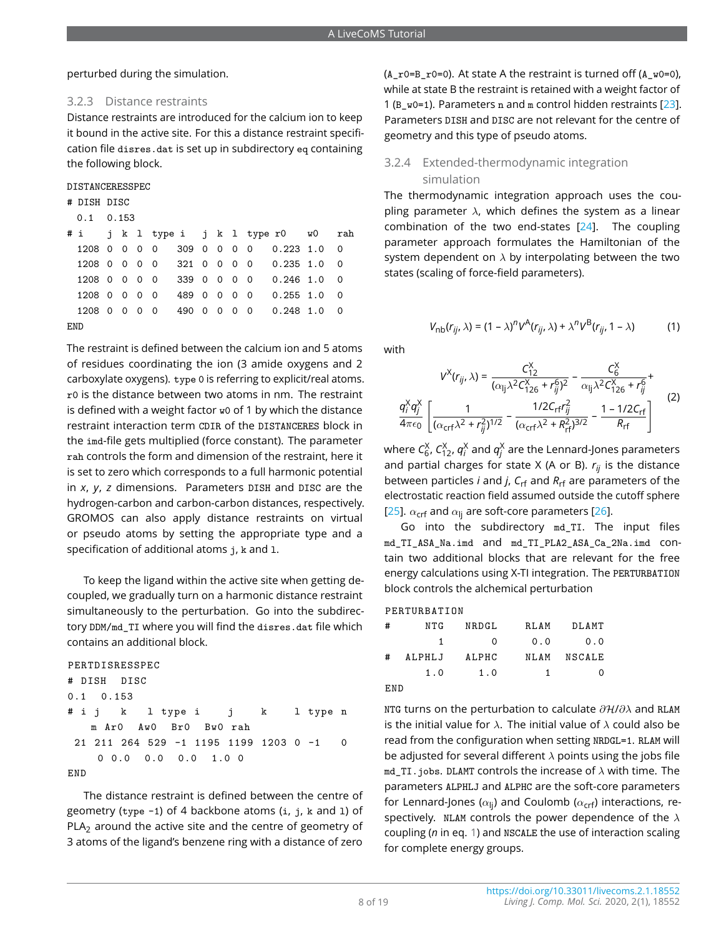perturbed during the simulation.

#### 3.2.3 Distance restraints

Distance restraints are introduced for the calcium ion to keep it bound in the active site. For this a distance restraint specification file disres.dat is set up in subdirectory eq containing the following block.

| DISTANCERESSPEC |
|-----------------|
|-----------------|

- # DISH DISC
- 0.1 0.153

|            |  |  |  |  | #i jk 1 type i jk 1 typer0 w0 rah    |  |
|------------|--|--|--|--|--------------------------------------|--|
|            |  |  |  |  | 1208 0 0 0 0 309 0 0 0 0 0.223 1.0 0 |  |
|            |  |  |  |  | 1208 0 0 0 0 321 0 0 0 0 0.235 1.0 0 |  |
|            |  |  |  |  | 1208 0 0 0 0 339 0 0 0 0 0.246 1.0 0 |  |
|            |  |  |  |  | 1208 0 0 0 0 489 0 0 0 0 0.255 1.0 0 |  |
|            |  |  |  |  | 1208 0 0 0 0 490 0 0 0 0 0.248 1.0 0 |  |
| <b>END</b> |  |  |  |  |                                      |  |

The restraint is defined between the calcium ion and 5 atoms of residues coordinating the ion (3 amide oxygens and 2 carboxylate oxygens). type 0 is referring to explicit/real atoms. r0 is the distance between two atoms in nm. The restraint is defined with a weight factor w0 of 1 by which the distance restraint interaction term CDIR of the DISTANCERES block in the imd-file gets multiplied (force constant). The parameter rah controls the form and dimension of the restraint, here it is set to zero which corresponds to a full harmonic potential in *x*, *y*, *z* dimensions. Parameters DISH and DISC are the hydrogen-carbon and carbon-carbon distances, respectively. GROMOS can also apply distance restraints on virtual or pseudo atoms by setting the appropriate type and a specification of additional atoms j, k and 1.

To keep the ligand within the active site when getting decoupled, we gradually turn on a harmonic distance restraint simultaneously to the perturbation. Go into the subdirectory DDM/md TI where you will find the disres.dat file which contains an additional block.

```
PERTDISRESSPEC
# DISH DISC
0.1 0.153
# i j k l type i j k l type n
   m Ar0 Aw0 Br0 Bw0 rah
21 211 264 529 -1 1195 1199 1203 0 -1 0
   0 0.0 0.0 0.0 1.0 0
END
```
The distance restraint is defined between the centre of geometry (type -1) of 4 backbone atoms (i, j, k and l) of  $PLA<sub>2</sub>$  around the active site and the centre of geometry of 3 atoms of the ligand's benzene ring with a distance of zero

 $(A_r0=B_r0=0)$ . At state A the restraint is turned off  $(A_r0=0)$ , while at state B the restraint is retained with a weight factor of 1 (B  $w0=1$ ). Parameters n and m control hidden restraints [\[23\]](#page-17-22). Parameters DISH and DISC are not relevant for the centre of geometry and this type of pseudo atoms.

## 3.2.4 Extended-thermodynamic integration simulation

The thermodynamic integration approach uses the coupling parameter  $\lambda$ , which defines the system as a linear combination of the two end-states [\[24\]](#page-17-23). The coupling parameter approach formulates the Hamiltonian of the system dependent on  $\lambda$  by interpolating between the two states (scaling of force-field parameters).

<span id="page-7-0"></span>
$$
V_{\text{nb}}(r_{ij}, \lambda) = (1 - \lambda)^n V^{\text{A}}(r_{ij}, \lambda) + \lambda^n V^{\text{B}}(r_{ij}, 1 - \lambda)
$$
 (1)

with

$$
V^{X}(r_{ij}, \lambda) = \frac{C_{12}^{X}}{(\alpha_{ij}\lambda^{2}C_{126}^{X} + r_{ij}^{6})^{2}} - \frac{C_{6}^{X}}{\alpha_{ij}\lambda^{2}C_{126}^{X} + r_{ij}^{6}} + \frac{q_{i}^{X}q_{j}^{X}}{4\pi\epsilon_{0}} \left[ \frac{1}{(\alpha_{\text{crf}}\lambda^{2} + r_{ij}^{2})^{1/2}} - \frac{1/2C_{\text{rf}}r_{ij}^{2}}{(\alpha_{\text{crf}}\lambda^{2} + R_{\text{rf}}^{2})^{3/2}} - \frac{1 - 1/2C_{\text{rf}}}{R_{\text{rf}}} \right] (2)
$$

where  $\mathcal{C}_6^\chi$ ,  $\mathcal{C}_{12}^\chi$ ,  $q_i^\chi$  and  $q_i^\chi$  are the Lennard-Jones parameters and partial charges for state X (A or B). *rij* is the distance between particles *i* and *j*, *C*rf and *R*rf are parameters of the electrostatic reaction field assumed outside the cutoff sphere [\[25\]](#page-17-24).  $\alpha_{\text{crit}}$  and  $\alpha_{\text{li}}$  are soft-core parameters [\[26\]](#page-17-25).

Go into the subdirectory md\_TI. The input files md\_TI\_ASA\_Na.imd and md\_TI\_PLA2\_ASA\_Ca\_2Na.imd contain two additional blocks that are relevant for the free energy calculations using X-TI integration. The PERTURBATION block controls the alchemical perturbation

#### PERTURBATION

| #   | NTG    | NRDGL | <b>RLAM</b> | DLAMT  |
|-----|--------|-------|-------------|--------|
|     | 1      | 0     | 0.0         | 0.0    |
| #   | ALPHLJ | ALPHC | NLAM        | NSCALE |
|     | 1.0    | 1.0   | 1           | O      |
| END |        |       |             |        |

NTG turns on the perturbation to calculate  $\partial$ H/ $\partial$ λ and RLAM is the initial value for  $\lambda$ . The initial value of  $\lambda$  could also be read from the configuration when setting NRDGL=1. RLAM will be adjusted for several different  $\lambda$  points using the jobs file  $md_TI.$  jobs. DLAMT controls the increase of  $\lambda$  with time. The parameters ALPHLJ and ALPHC are the soft-core parameters for Lennard-Jones ( $\alpha_{\rm li}$ ) and Coulomb ( $\alpha_{\rm crit}$ ) interactions, respectively. NLAM controls the power dependence of the  $\lambda$ coupling (*n* in eq. [1\)](#page-7-0) and NSCALE the use of interaction scaling for complete energy groups.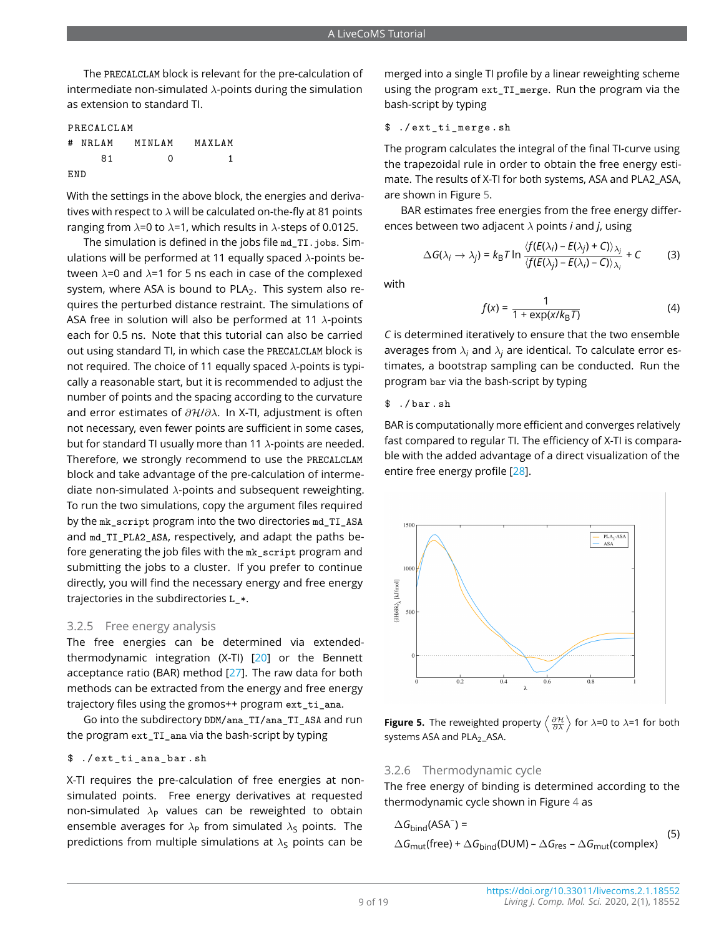The PRECALCLAM block is relevant for the pre-calculation of intermediate non-simulated  $\lambda$ -points during the simulation as extension to standard TI.

| PRECALCLAM |    |                |         |  |  |  |  |  |  |  |
|------------|----|----------------|---------|--|--|--|--|--|--|--|
|            |    | # NRLAM MINLAM | MAXI.AM |  |  |  |  |  |  |  |
|            | 81 | ∩              |         |  |  |  |  |  |  |  |
| F.ND       |    |                |         |  |  |  |  |  |  |  |

With the settings in the above block, the energies and derivatives with respect to  $\lambda$  will be calculated on-the-fly at 81 points ranging from  $\lambda$ =0 to  $\lambda$ =1, which results in  $\lambda$ -steps of 0.0125.

The simulation is defined in the jobs file md\_TI.jobs. Simulations will be performed at 11 equally spaced  $\lambda$ -points between  $\lambda$ =0 and  $\lambda$ =1 for 5 ns each in case of the complexed system, where ASA is bound to PLA $_2$ . This system also requires the perturbed distance restraint. The simulations of ASA free in solution will also be performed at 11  $\lambda$ -points each for 0.5 ns. Note that this tutorial can also be carried out using standard TI, in which case the PRECALCLAM block is not required. The choice of 11 equally spaced  $\lambda$ -points is typically a reasonable start, but it is recommended to adjust the number of points and the spacing according to the curvature and error estimates of  $\partial H/\partial \lambda$ . In X-TI, adjustment is often not necessary, even fewer points are sufficient in some cases, but for standard TI usually more than 11  $\lambda$ -points are needed. Therefore, we strongly recommend to use the PRECALCLAM block and take advantage of the pre-calculation of intermediate non-simulated  $\lambda$ -points and subsequent reweighting. To run the two simulations, copy the argument files required by the mk\_script program into the two directories md\_TI\_ASA and md\_TI\_PLA2\_ASA, respectively, and adapt the paths before generating the job files with the mk\_script program and submitting the jobs to a cluster. If you prefer to continue directly, you will find the necessary energy and free energy trajectories in the subdirectories L\_\*.

#### 3.2.5 Free energy analysis

The free energies can be determined via extendedthermodynamic integration (X-TI) [\[20\]](#page-17-19) or the Bennett acceptance ratio (BAR) method [\[27\]](#page-18-1). The raw data for both methods can be extracted from the energy and free energy trajectory files using the gromos++ program ext\_ti\_ana.

Go into the subdirectory DDM/ana\_TI/ana\_TI\_ASA and run the program ext\_TI\_ana via the bash-script by typing

#### \$ ./ ext\_ti\_ana\_bar . sh

X-TI requires the pre-calculation of free energies at nonsimulated points. Free energy derivatives at requested non-simulated  $\lambda_P$  values can be reweighted to obtain ensemble averages for  $\lambda_P$  from simulated  $\lambda_S$  points. The predictions from multiple simulations at  $\lambda_S$  points can be

merged into a single TI profile by a linear reweighting scheme using the program ext\_TI\_merge. Run the program via the bash-script by typing

#### \$ ./ ext\_ti\_merge . sh

The program calculates the integral of the final TI-curve using the trapezoidal rule in order to obtain the free energy estimate. The results of X-TI for both systems, ASA and PLA2\_ASA, are shown in Figure [5.](#page-8-0)

BAR estimates free energies from the free energy differences between two adjacent λ points *i* and *j*, using

$$
\Delta G(\lambda_i \to \lambda_j) = k_{\text{B}} T \ln \frac{\langle f(E(\lambda_i) - E(\lambda_j) + C) \rangle_{\lambda_j}}{\langle f(E(\lambda_j) - E(\lambda_i) - C) \rangle_{\lambda_i}} + C
$$
 (3)

with

$$
f(x) = \frac{1}{1 + \exp(x/k_B T)}
$$
(4)

*C* is determined iteratively to ensure that the two ensemble averages from  $\lambda_i$  and  $\lambda_j$  are identical. To calculate error estimates, a bootstrap sampling can be conducted. Run the program bar via the bash-script by typing

\$ ./ bar . sh

BAR is computationally more efficient and converges relatively fast compared to regular TI. The efficiency of X-TI is comparable with the added advantage of a direct visualization of the entire free energy profile [\[28\]](#page-18-2).

<span id="page-8-0"></span>

**Figure 5.** The reweighted property  $\left\langle \frac{\partial \mathcal{H}}{\partial \lambda} \right\rangle$  for  $\lambda$ =0 to  $\lambda$ =1 for both systems ASA and PLA<sub>2</sub>\_ASA.

#### 3.2.6 Thermodynamic cycle

The free energy of binding is determined according to the thermodynamic cycle shown in Figure [4](#page-6-1) as

$$
\Delta G_{\text{bind}}(\text{ASA}^-) =
$$
\n
$$
\Delta G_{\text{mut}}(\text{free}) + \Delta G_{\text{bind}}(\text{DUM}) - \Delta G_{\text{res}} - \Delta G_{\text{mut}}(\text{complex})
$$
\n(5)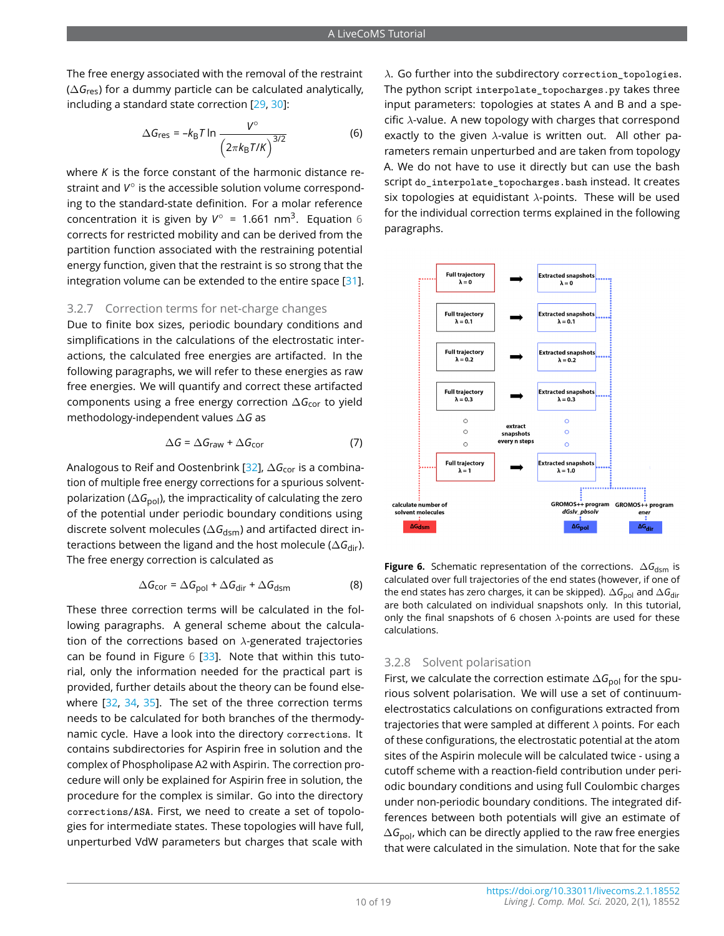The free energy associated with the removal of the restraint (∆*G*res) for a dummy particle can be calculated analytically, including a standard state correction [\[29,](#page-18-3) [30\]](#page-18-4):

$$
\Delta G_{\text{res}} = -k_{\text{B}} T \ln \frac{V^{\circ}}{\left(2\pi k_{\text{B}} T/K\right)^{3/2}} \tag{6}
$$

where *K* is the force constant of the harmonic distance restraint and *V* ◦ is the accessible solution volume corresponding to the standard-state definition. For a molar reference concentration it is given by  $V^{\circ}$  = 1.[6](#page-9-0)61 nm<sup>3</sup>. Equation 6 corrects for restricted mobility and can be derived from the partition function associated with the restraining potential energy function, given that the restraint is so strong that the integration volume can be extended to the entire space  $[31]$ .

#### 3.2.7 Correction terms for net-charge changes

Due to finite box sizes, periodic boundary conditions and simplifications in the calculations of the electrostatic interactions, the calculated free energies are artifacted. In the following paragraphs, we will refer to these energies as raw free energies. We will quantify and correct these artifacted components using a free energy correction ∆*G*cor to yield methodology-independent values ∆*G* as

$$
\Delta G = \Delta G_{\text{raw}} + \Delta G_{\text{cor}} \tag{7}
$$

Analogous to Reif and Oostenbrink [\[32\]](#page-18-6), ∆G<sub>cor</sub> is a combination of multiple free energy corrections for a spurious solventpolarization ( $\Delta G_{\text{bol}}$ ), the impracticality of calculating the zero of the potential under periodic boundary conditions using discrete solvent molecules ( $\Delta G_{\text{dsm}}$ ) and artifacted direct interactions between the ligand and the host molecule ( $\Delta G_{dir}$ ). The free energy correction is calculated as

$$
\Delta G_{\text{cor}} = \Delta G_{\text{pol}} + \Delta G_{\text{dir}} + \Delta G_{\text{dsm}} \tag{8}
$$

These three correction terms will be calculated in the following paragraphs. A general scheme about the calculation of the corrections based on  $\lambda$ -generated trajectories can be found in Figure  $6$  [\[33\]](#page-18-7). Note that within this tutorial, only the information needed for the practical part is provided, further details about the theory can be found elsewhere [\[32,](#page-18-6) [34,](#page-18-8) [35\]](#page-18-9). The set of the three correction terms needs to be calculated for both branches of the thermodynamic cycle. Have a look into the directory corrections. It contains subdirectories for Aspirin free in solution and the complex of Phospholipase A2 with Aspirin. The correction procedure will only be explained for Aspirin free in solution, the procedure for the complex is similar. Go into the directory corrections/ASA. First, we need to create a set of topologies for intermediate states. These topologies will have full, unperturbed VdW parameters but charges that scale with

<span id="page-9-0"></span> $\lambda$ . Go further into the subdirectory correction\_topologies. The python script interpolate\_topocharges.py takes three input parameters: topologies at states A and B and a specific  $\lambda$ -value. A new topology with charges that correspond exactly to the given  $\lambda$ -value is written out. All other parameters remain unperturbed and are taken from topology A. We do not have to use it directly but can use the bash script do\_interpolate\_topocharges.bash instead. It creates six topologies at equidistant  $\lambda$ -points. These will be used for the individual correction terms explained in the following paragraphs.

<span id="page-9-1"></span>

<span id="page-9-2"></span>**Figure 6.** Schematic representation of the corrections. ∆G<sub>dsm</sub> is calculated over full trajectories of the end states (however, if one of the end states has zero charges, it can be skipped). ∆*G*<sub>pol</sub> and ∆*G*<sub>dir</sub> are both calculated on individual snapshots only. In this tutorial, only the final snapshots of 6 chosen  $\lambda$ -points are used for these calculations.

#### 3.2.8 Solvent polarisation

First, we calculate the correction estimate ∆G<sub>pol</sub> for the spurious solvent polarisation. We will use a set of continuumelectrostatics calculations on configurations extracted from trajectories that were sampled at different  $\lambda$  points. For each of these configurations, the electrostatic potential at the atom sites of the Aspirin molecule will be calculated twice - using a cutoff scheme with a reaction-field contribution under periodic boundary conditions and using full Coulombic charges under non-periodic boundary conditions. The integrated differences between both potentials will give an estimate of ∆*G*<sub>pol</sub>, which can be directly applied to the raw free energies that were calculated in the simulation. Note that for the sake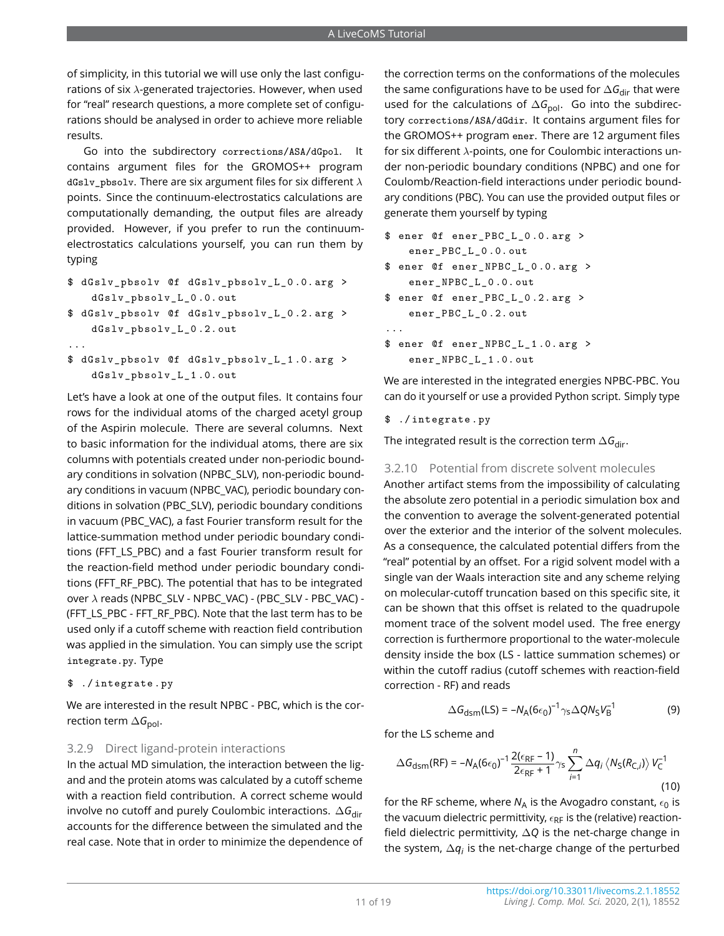of simplicity, in this tutorial we will use only the last configurations of six  $\lambda$ -generated trajectories. However, when used for "real" research questions, a more complete set of configurations should be analysed in order to achieve more reliable results.

Go into the subdirectory corrections/ASA/dGpol. It contains argument files for the GROMOS++ program dGslv\_pbsolv. There are six argument files for six different  $\lambda$ points. Since the continuum-electrostatics calculations are computationally demanding, the output files are already provided. However, if you prefer to run the continuumelectrostatics calculations yourself, you can run them by typing

- \$ dGslv\_pbsolv @f dGslv\_pbsolv\_L\_0 .0. arg > dGslv\_pbsolv\_L\_0 .0. out
- \$ dGslv\_pbsolv @f dGslv\_pbsolv\_L\_0 .2. arg > dGslv\_pbsolv\_L\_0 .2. out
- ...
- \$ dGslv\_pbsolv @f dGslv\_pbsolv\_L\_1 .0. arg > dGslv\_pbsolv\_L\_1 .0. out

Let's have a look at one of the output files. It contains four rows for the individual atoms of the charged acetyl group of the Aspirin molecule. There are several columns. Next to basic information for the individual atoms, there are six columns with potentials created under non-periodic boundary conditions in solvation (NPBC\_SLV), non-periodic boundary conditions in vacuum (NPBC\_VAC), periodic boundary conditions in solvation (PBC\_SLV), periodic boundary conditions in vacuum (PBC\_VAC), a fast Fourier transform result for the lattice-summation method under periodic boundary conditions (FFT\_LS\_PBC) and a fast Fourier transform result for the reaction-field method under periodic boundary conditions (FFT\_RF\_PBC). The potential that has to be integrated over λ reads (NPBC\_SLV - NPBC\_VAC) - (PBC\_SLV - PBC\_VAC) - (FFT\_LS\_PBC - FFT\_RF\_PBC). Note that the last term has to be used only if a cutoff scheme with reaction field contribution was applied in the simulation. You can simply use the script integrate.py. Type

\$ ./ integrate . py

We are interested in the result NPBC - PBC, which is the correction term ∆*G*<sub>pol</sub>.

#### 3.2.9 Direct ligand-protein interactions

In the actual MD simulation, the interaction between the ligand and the protein atoms was calculated by a cutoff scheme with a reaction field contribution. A correct scheme would involve no cutoff and purely Coulombic interactions. ∆*G*dir accounts for the difference between the simulated and the real case. Note that in order to minimize the dependence of

the correction terms on the conformations of the molecules the same configurations have to be used for ∆G<sub>dir</sub> that were used for the calculations of ∆G<sub>pol</sub>. Go into the subdirectory corrections/ASA/dGdir. It contains argument files for the GROMOS++ program ener. There are 12 argument files for six different λ-points, one for Coulombic interactions under non-periodic boundary conditions (NPBC) and one for Coulomb/Reaction-field interactions under periodic boundary conditions (PBC). You can use the provided output files or generate them yourself by typing

\$ ener @f ener\_PBC\_L\_0 .0. arg > ener\_PBC\_L\_0 .0. out

```
$ ener @f ener_NPBC_L_0 .0. arg >
   ener_NPBC_L_0 .0. out
```
- \$ ener @f ener\_PBC\_L\_0 .2. arg > ener\_PBC\_L\_0 .2. out ...
- \$ ener @f ener\_NPBC\_L\_1 .0. arg > ener\_NPBC\_L\_1.0. out

We are interested in the integrated energies NPBC-PBC. You can do it yourself or use a provided Python script. Simply type

#### \$ ./ integrate . py

The integrated result is the correction term ∆*G*<sub>dir</sub>.

#### 3.2.10 Potential from discrete solvent molecules

Another artifact stems from the impossibility of calculating the absolute zero potential in a periodic simulation box and the convention to average the solvent-generated potential over the exterior and the interior of the solvent molecules. As a consequence, the calculated potential differs from the "real" potential by an offset. For a rigid solvent model with a single van der Waals interaction site and any scheme relying on molecular-cutoff truncation based on this specific site, it can be shown that this offset is related to the quadrupole moment trace of the solvent model used. The free energy correction is furthermore proportional to the water-molecule density inside the box (LS - lattice summation schemes) or within the cutoff radius (cutoff schemes with reaction-field correction - RF) and reads

<span id="page-10-0"></span>
$$
\Delta G_{\text{dsm}}(\text{LS}) = -N_{\text{A}}(6\epsilon_0)^{-1} \gamma_{\text{S}} \Delta Q N_{\text{S}} V_{\text{B}}^{-1} \tag{9}
$$

for the LS scheme and

$$
\Delta G_{\text{dsm}}(\text{RF}) = -N_{\text{A}}(6\epsilon_0)^{-1} \frac{2(\epsilon_{\text{RF}}-1)}{2\epsilon_{\text{RF}}+1} \gamma_{\text{S}} \sum_{i=1}^{n} \Delta q_i \left\langle N_{\text{S}}(R_{\text{C},i}) \right\rangle V_{\text{C}}^{-1}
$$
\n(10)

for the RF scheme, where  $N_A$  is the Avogadro constant,  $\epsilon_0$  is the vacuum dielectric permittivity,  $\epsilon_{RF}$  is the (relative) reactionfield dielectric permittivity, ∆*Q* is the net-charge change in the system,  $\Delta q_i$  is the net-charge change of the perturbed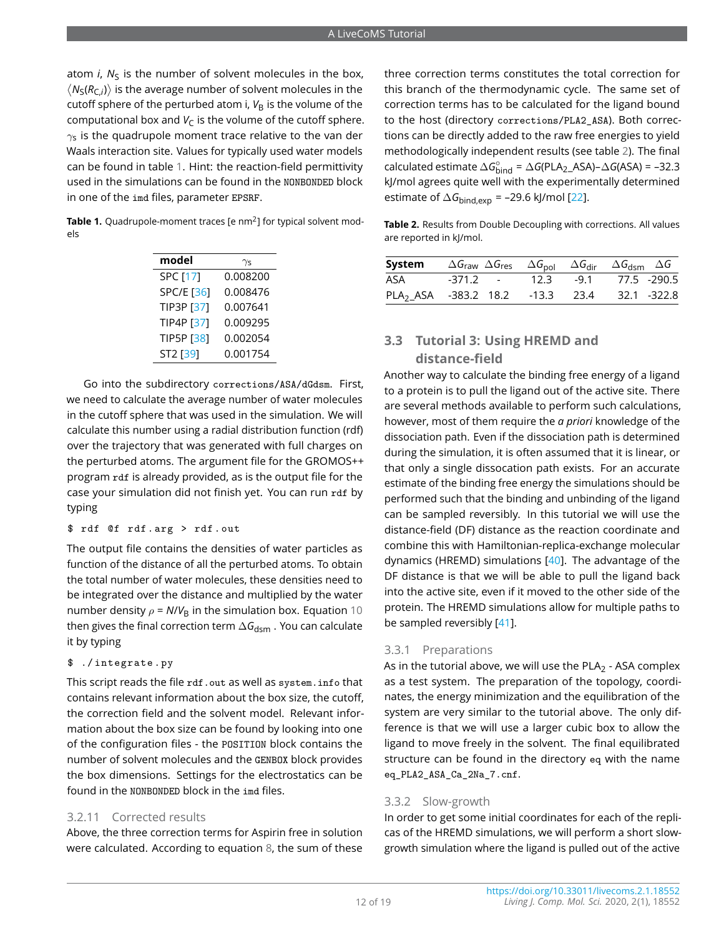atom *i*, N<sub>S</sub> is the number of solvent molecules in the box,  $\langle N_S(R_{C,i})\rangle$  is the average number of solvent molecules in the cutoff sphere of the perturbed atom i,  $V_B$  is the volume of the computational box and  $V_C$  is the volume of the cutoff sphere.  $\gamma$ s is the quadrupole moment trace relative to the van der Waals interaction site. Values for typically used water models can be found in table [1.](#page-11-0) Hint: the reaction-field permittivity used in the simulations can be found in the NONBONDED block in one of the imd files, parameter EPSRF.

<span id="page-11-0"></span>**Table 1.** Ouadrupole-moment traces [e nm<sup>2</sup>] for typical solvent models

| model             | $\gamma$ s |
|-------------------|------------|
| SPC [17]          | 0.008200   |
| <b>SPC/E [36]</b> | 0.008476   |
| <b>TIP3P [37]</b> | 0.007641   |
| TIP4P [37]        | 0.009295   |
| <b>TIP5P [38]</b> | 0.002054   |
| ST2 [39]          | 0.001754   |

Go into the subdirectory corrections/ASA/dGdsm. First, we need to calculate the average number of water molecules in the cutoff sphere that was used in the simulation. We will calculate this number using a radial distribution function (rdf) over the trajectory that was generated with full charges on the perturbed atoms. The argument file for the GROMOS++ program rdf is already provided, as is the output file for the case your simulation did not finish yet. You can run rdf by typing

\$ rdf @f rdf . arg > rdf . out

The output file contains the densities of water particles as function of the distance of all the perturbed atoms. To obtain the total number of water molecules, these densities need to be integrated over the distance and multiplied by the water number density  $\rho = N/V_B$  in the simulation box. Equation [10](#page-10-0) then gives the final correction term  $\Delta G_{\text{dsm}}$ . You can calculate it by typing

\$ ./ integrate . py

This script reads the file rdf.out as well as system.info that contains relevant information about the box size, the cutoff, the correction field and the solvent model. Relevant information about the box size can be found by looking into one of the configuration files - the POSITION block contains the number of solvent molecules and the GENBOX block provides the box dimensions. Settings for the electrostatics can be found in the NONBONDED block in the imd files

#### 3.2.11 Corrected results

Above, the three correction terms for Aspirin free in solution were calculated. According to equation [8,](#page-9-2) the sum of these three correction terms constitutes the total correction for this branch of the thermodynamic cycle. The same set of correction terms has to be calculated for the ligand bound to the host (directory corrections/PLA2\_ASA). Both corrections can be directly added to the raw free energies to yield methodologically independent results (see table [2\)](#page-11-1). The final  $cal$ calculated estimate  $\Delta G_{\text{bind}}^{\circ} = \Delta G(\text{PLA}_{2}\_\text{ASA}) - \Delta G(\text{ASA}) = -32.3$ kJ/mol agrees quite well with the experimentally determined estimate of  $\Delta G_{bind,exp}$  = –29.6 kJ/mol [\[22\]](#page-17-21).

<span id="page-11-1"></span>**Table 2.** Results from Double Decoupling with corrections. All values are reported in kJ/mol.

| <b>System</b> $\Delta G_{\text{raw}} \Delta G_{\text{res}} \Delta G_{\text{pol}} \Delta G_{\text{dir}} \Delta G_{\text{dsm}} \Delta G$ |  |                                |  |  |
|----------------------------------------------------------------------------------------------------------------------------------------|--|--------------------------------|--|--|
| ASA                                                                                                                                    |  | -371.2 - 12.3 -9.1 77.5 -290.5 |  |  |
| PLA <sub>2</sub> ASA -383.2 18.2 -13.3 23.4 32.1 -322.8                                                                                |  |                                |  |  |

## **3.3 Tutorial 3: Using HREMD and distance-field**

Another way to calculate the binding free energy of a ligand to a protein is to pull the ligand out of the active site. There are several methods available to perform such calculations, however, most of them require the *a priori* knowledge of the dissociation path. Even if the dissociation path is determined during the simulation, it is often assumed that it is linear, or that only a single dissocation path exists. For an accurate estimate of the binding free energy the simulations should be performed such that the binding and unbinding of the ligand can be sampled reversibly. In this tutorial we will use the distance-field (DF) distance as the reaction coordinate and combine this with Hamiltonian-replica-exchange molecular dynamics (HREMD) simulations [\[40\]](#page-18-14). The advantage of the DF distance is that we will be able to pull the ligand back into the active site, even if it moved to the other side of the protein. The HREMD simulations allow for multiple paths to be sampled reversibly [\[41\]](#page-18-15).

#### 3.3.1 Preparations

As in the tutorial above, we will use the PLA<sub>2</sub> - ASA complex as a test system. The preparation of the topology, coordinates, the energy minimization and the equilibration of the system are very similar to the tutorial above. The only difference is that we will use a larger cubic box to allow the ligand to move freely in the solvent. The final equilibrated structure can be found in the directory eq with the name eq\_PLA2\_ASA\_Ca\_2Na\_7.cnf.

#### 3.3.2 Slow-growth

In order to get some initial coordinates for each of the replicas of the HREMD simulations, we will perform a short slowgrowth simulation where the ligand is pulled out of the active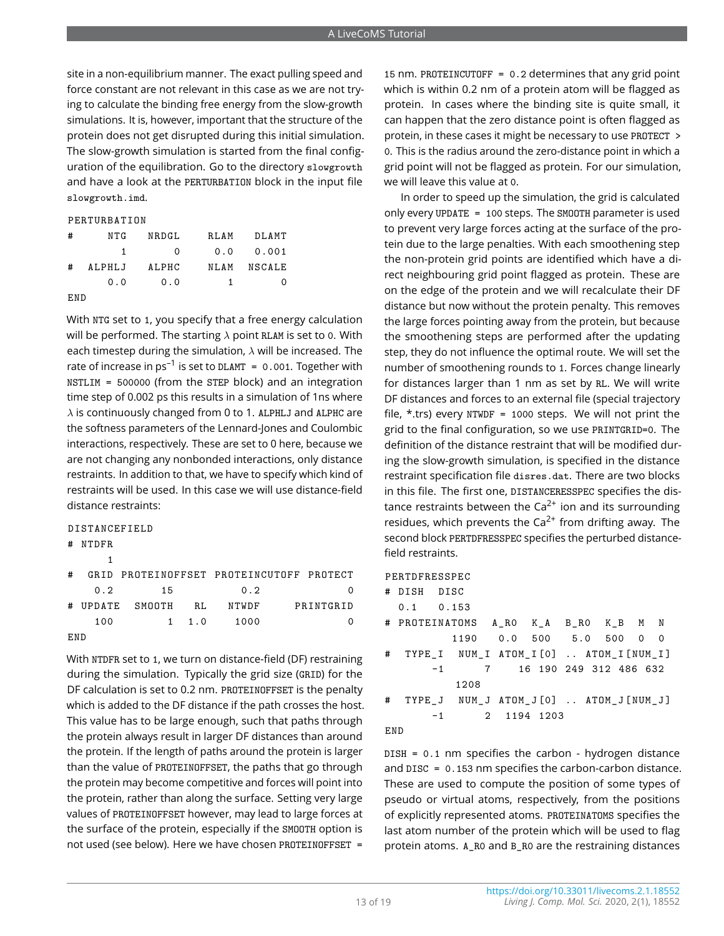site in a non-equilibrium manner. The exact pulling speed and force constant are not relevant in this case as we are not trying to calculate the binding free energy from the slow-growth simulations. It is, however, important that the structure of the protein does not get disrupted during this initial simulation. The slow-growth simulation is started from the final configuration of the equilibration. Go to the directory slowgrowth and have a look at the PERTURBATION block in the input file slowgrowth.imd.

#### PERTURBATION

| #   | NTG    | NRDGL    | RLAM | DLAMT  |
|-----|--------|----------|------|--------|
|     | 1      | $\Omega$ | 0.0  | 0.001  |
| #   | ALPHLJ | ALPHC    | NLAM | NSCALE |
|     | 0.0    | 0.0      | 1    | 0      |
| END |        |          |      |        |

With NTG set to 1, you specify that a free energy calculation will be performed. The starting  $\lambda$  point RLAM is set to 0. With each timestep during the simulation,  $\lambda$  will be increased. The rate of increase in  $\rm ps^{-1}$  is set to <code>DLAMT = 0.001.</code> Together with NSTLIM = 500000 (from the STEP block) and an integration time step of 0.002 ps this results in a simulation of 1ns where  $\lambda$  is continuously changed from 0 to 1. ALPHLJ and ALPHC are the softness parameters of the Lennard-Jones and Coulombic interactions, respectively. These are set to 0 here, because we are not changing any nonbonded interactions, only distance restraints. In addition to that, we have to specify which kind of restraints will be used. In this case we will use distance-field distance restraints:

#### DISTANCEFIELD

# NTDFR

| ₩   | NIDFR. |        |     |       |                                          |
|-----|--------|--------|-----|-------|------------------------------------------|
|     |        |        |     |       |                                          |
| #   |        |        |     |       | GRID PROTEINOFFSET PROTEINCUTOFF PROTECT |
|     | 0.2    | 15     |     | 0.2   |                                          |
| #   | UPDATE | SMOOTH | RL. | NTWDF | PRINTGRID                                |
|     | 100    | 1.     | 1.0 | 1000  |                                          |
| FND |        |        |     |       |                                          |

With NTDFR set to 1, we turn on distance-field (DF) restraining during the simulation. Typically the grid size (GRID) for the DF calculation is set to 0.2 nm. PROTEINOFFSET is the penalty which is added to the DF distance if the path crosses the host. This value has to be large enough, such that paths through the protein always result in larger DF distances than around the protein. If the length of paths around the protein is larger than the value of PROTEINOFFSET, the paths that go through the protein may become competitive and forces will point into the protein, rather than along the surface. Setting very large values of PROTEINOFFSET however, may lead to large forces at the surface of the protein, especially if the SMOOTH option is not used (see below). Here we have chosen PROTEINOFFSET =

15 nm. PROTEINCUTOFF = 0.2 determines that any grid point which is within 0.2 nm of a protein atom will be flagged as protein. In cases where the binding site is quite small, it can happen that the zero distance point is often flagged as protein, in these cases it might be necessary to use PROTECT > 0. This is the radius around the zero-distance point in which a grid point will not be flagged as protein. For our simulation, we will leave this value at 0.

In order to speed up the simulation, the grid is calculated only every UPDATE = 100 steps. The SMOOTH parameter is used to prevent very large forces acting at the surface of the protein due to the large penalties. With each smoothening step the non-protein grid points are identified which have a direct neighbouring grid point flagged as protein. These are on the edge of the protein and we will recalculate their DF distance but now without the protein penalty. This removes the large forces pointing away from the protein, but because the smoothening steps are performed after the updating step, they do not influence the optimal route. We will set the number of smoothening rounds to 1. Forces change linearly for distances larger than 1 nm as set by RL. We will write DF distances and forces to an external file (special trajectory file,  $*$ .trs) every NTWDF = 1000 steps. We will not print the grid to the final configuration, so we use PRINTGRID=0. The definition of the distance restraint that will be modified during the slow-growth simulation, is specified in the distance restraint specification file disres.dat. There are two blocks in this file. The first one, DISTANCERESSPEC specifies the distance restraints between the  $Ca^{2+}$  ion and its surrounding residues, which prevents the  $Ca^{2+}$  from drifting away. The second block PERTDFRESSPEC specifies the perturbed distancefield restraints.

#### PERTDFRESSPEC

|   | # DISH DISC                           |               |      |  |             |                                       |  |  |
|---|---------------------------------------|---------------|------|--|-------------|---------------------------------------|--|--|
|   | $0.1$ 0.153                           |               |      |  |             |                                       |  |  |
|   | # PROTEINATOMS A_RO K_A B_RO K_B M N  |               |      |  |             |                                       |  |  |
|   |                                       |               |      |  |             | 1190  0.0  500  5.0  500  0  0        |  |  |
| # | TYPE I NUM I ATOM I[O]  ATOM I[NUM I] |               |      |  |             |                                       |  |  |
|   |                                       | $-1$          |      |  |             | 7 16 190 249 312 486 632              |  |  |
|   |                                       |               | 1208 |  |             |                                       |  |  |
| # |                                       |               |      |  |             | TYPE_J NUM_J ATOM_J[O]  ATOM_J[NUM_J] |  |  |
|   |                                       | $-1$ and $-1$ |      |  | 2 1194 1203 |                                       |  |  |
|   |                                       |               |      |  |             |                                       |  |  |

#### END

DISH = 0.1 nm specifies the carbon - hydrogen distance and DISC = 0.153 nm specifies the carbon-carbon distance. These are used to compute the position of some types of pseudo or virtual atoms, respectively, from the positions of explicitly represented atoms. PROTEINATOMS specifies the last atom number of the protein which will be used to flag protein atoms. A\_R0 and B\_R0 are the restraining distances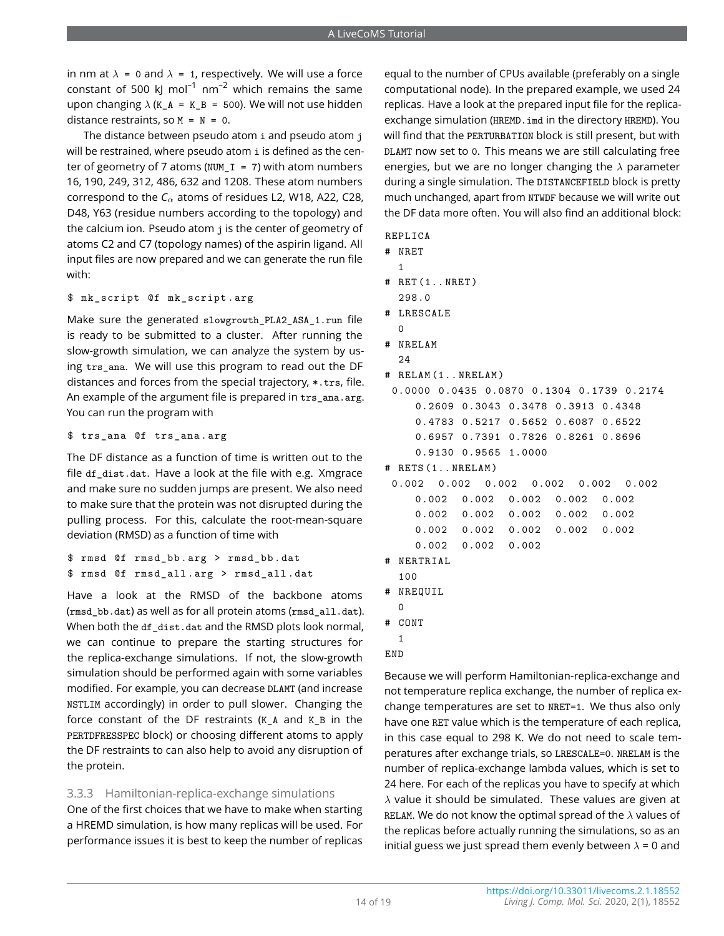in nm at  $\lambda = 0$  and  $\lambda = 1$ , respectively. We will use a force constant of 500 kJ mol<sup>-1</sup> nm<sup>-2</sup> which remains the same upon changing  $\lambda$  (K\_A = K\_B = 500). We will not use hidden distance restraints, so  $M = N = 0$ .

The distance between pseudo atom i and pseudo atom j will be restrained, where pseudo atom i is defined as the center of geometry of 7 atoms (NUM\_I = 7) with atom numbers 16, 190, 249, 312, 486, 632 and 1208. These atom numbers correspond to the  $C_\alpha$  atoms of residues L2, W18, A22, C28, D48, Y63 (residue numbers according to the topology) and the calcium ion. Pseudo atom j is the center of geometry of atoms C2 and C7 (topology names) of the aspirin ligand. All input files are now prepared and we can generate the run file with:

#### \$ mk\_script @f mk\_script . arg

Make sure the generated slowgrowth PLA2 ASA 1.run file is ready to be submitted to a cluster. After running the slow-growth simulation, we can analyze the system by using trs\_ana. We will use this program to read out the DF distances and forces from the special trajectory, \*.trs, file. An example of the argument file is prepared in trs\_ana.arg. You can run the program with

#### \$ trs\_ana @f trs\_ana . arg

The DF distance as a function of time is written out to the file df\_dist.dat. Have a look at the file with e.g. Xmgrace and make sure no sudden jumps are present. We also need to make sure that the protein was not disrupted during the pulling process. For this, calculate the root-mean-square deviation (RMSD) as a function of time with

```
$ rmsd @f rmsd_bb . arg > rmsd_bb . dat
$ rmsd @f rmsd_all . arg > rmsd_all . dat
```
Have a look at the RMSD of the backbone atoms (rmsd\_bb.dat) as well as for all protein atoms (rmsd\_all.dat). When both the df dist.dat and the RMSD plots look normal, we can continue to prepare the starting structures for the replica-exchange simulations. If not, the slow-growth simulation should be performed again with some variables modified. For example, you can decrease DLAMT (and increase NSTLIM accordingly) in order to pull slower. Changing the force constant of the DF restraints (K\_A and K\_B in the PERTDFRESSPEC block) or choosing different atoms to apply the DF restraints to can also help to avoid any disruption of the protein.

#### 3.3.3 Hamiltonian-replica-exchange simulations

One of the first choices that we have to make when starting a HREMD simulation, is how many replicas will be used. For performance issues it is best to keep the number of replicas equal to the number of CPUs available (preferably on a single computational node). In the prepared example, we used 24 replicas. Have a look at the prepared input file for the replicaexchange simulation (HREMD.imd in the directory HREMD). You will find that the PERTURBATION block is still present, but with DLAMT now set to 0. This means we are still calculating free energies, but we are no longer changing the  $\lambda$  parameter during a single simulation. The DISTANCEFIELD block is pretty much unchanged, apart from NTWDF because we will write out the DF data more often. You will also find an additional block:

- REPLICA
- # NRET
	- 1
- # RET (1.. NRET )
	- 298.0
- # LRESCALE
- $\Omega$ # NRELAM
- 24
- # RELAM (1.. NRELAM )

```
0.0000 0.0435 0.0870 0.1304 0.1739 0.2174
   0.2609 0.3043 0.3478 0.3913 0.4348
   0.4783 0.5217 0.5652 0.6087 0.6522
```

```
0.6957 0.7391 0.7826 0.8261 0.8696
0.9130 0.9565 1.0000
```
# RETS (1.. NRELAM )

```
0.002 0.002 0.002 0.002 0.002 0.002
   0.002 0.002 0.002 0.002 0.002
   0.002 0.002 0.002 0.002 0.002
   0.002 0.002 0.002 0.002 0.002
   0.002 0.002 0.002
```
- # NERTRIAL
- 100
- # NREQUIL
- $\Omega$ # CONT
- 1
- END

Because we will perform Hamiltonian-replica-exchange and not temperature replica exchange, the number of replica exchange temperatures are set to NRET=1. We thus also only have one RET value which is the temperature of each replica, in this case equal to 298 K. We do not need to scale temperatures after exchange trials, so LRESCALE=0. NRELAM is the number of replica-exchange lambda values, which is set to 24 here. For each of the replicas you have to specify at which  $\lambda$  value it should be simulated. These values are given at RELAM. We do not know the optimal spread of the  $\lambda$  values of the replicas before actually running the simulations, so as an initial guess we just spread them evenly between  $\lambda = 0$  and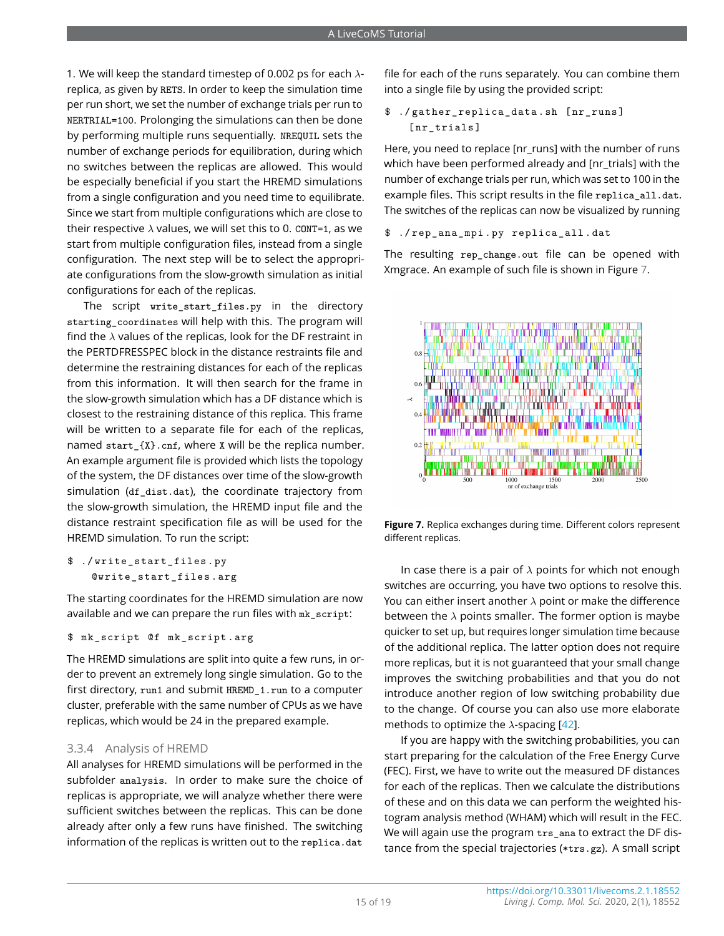1. We will keep the standard timestep of 0.002 ps for each  $\lambda$ replica, as given by RETS. In order to keep the simulation time per run short, we set the number of exchange trials per run to NERTRIAL=100. Prolonging the simulations can then be done by performing multiple runs sequentially. NREQUIL sets the number of exchange periods for equilibration, during which no switches between the replicas are allowed. This would be especially beneficial if you start the HREMD simulations from a single configuration and you need time to equilibrate. Since we start from multiple configurations which are close to their respective  $\lambda$  values, we will set this to 0. CONT=1, as we start from multiple configuration files, instead from a single configuration. The next step will be to select the appropriate configurations from the slow-growth simulation as initial configurations for each of the replicas.

The script write start files.py in the directory starting coordinates will help with this. The program will find the  $\lambda$  values of the replicas, look for the DF restraint in the PERTDFRESSPEC block in the distance restraints file and determine the restraining distances for each of the replicas from this information. It will then search for the frame in the slow-growth simulation which has a DF distance which is closest to the restraining distance of this replica. This frame will be written to a separate file for each of the replicas, named start  $\{X\}$ .cnf, where X will be the replica number. An example argument file is provided which lists the topology of the system, the DF distances over time of the slow-growth simulation (df\_dist.dat), the coordinate trajectory from the slow-growth simulation, the HREMD input file and the distance restraint specification file as will be used for the HREMD simulation. To run the script:

\$ ./ write\_start\_files . py @write\_start\_files . arg

The starting coordinates for the HREMD simulation are now available and we can prepare the run files with mk\_script:

```
$ mk_script @f mk_script . arg
```
The HREMD simulations are split into quite a few runs, in order to prevent an extremely long single simulation. Go to the first directory, run1 and submit HREMD\_1.run to a computer cluster, preferable with the same number of CPUs as we have replicas, which would be 24 in the prepared example.

#### 3.3.4 Analysis of HREMD

All analyses for HREMD simulations will be performed in the subfolder analysis. In order to make sure the choice of replicas is appropriate, we will analyze whether there were sufficient switches between the replicas. This can be done already after only a few runs have finished. The switching information of the replicas is written out to the replica.dat

file for each of the runs separately. You can combine them into a single file by using the provided script:

\$ ./ gather\_replica\_data . sh [ nr\_runs ] [ nr\_trials ]

Here, you need to replace [nr\_runs] with the number of runs which have been performed already and [nr\_trials] with the number of exchange trials per run, which was set to 100 in the example files. This script results in the file replica\_all.dat. The switches of the replicas can now be visualized by running

\$ ./ rep\_ana\_mpi . py replica\_all . dat

The resulting rep\_change.out file can be opened with Xmgrace. An example of such file is shown in Figure [7.](#page-14-0)

<span id="page-14-0"></span>

**Figure 7.** Replica exchanges during time. Different colors represent different replicas.

In case there is a pair of  $\lambda$  points for which not enough switches are occurring, you have two options to resolve this. You can either insert another  $\lambda$  point or make the difference between the  $\lambda$  points smaller. The former option is maybe quicker to set up, but requires longer simulation time because of the additional replica. The latter option does not require more replicas, but it is not guaranteed that your small change improves the switching probabilities and that you do not introduce another region of low switching probability due to the change. Of course you can also use more elaborate methods to optimize the  $\lambda$ -spacing [\[42\]](#page-18-16).

If you are happy with the switching probabilities, you can start preparing for the calculation of the Free Energy Curve (FEC). First, we have to write out the measured DF distances for each of the replicas. Then we calculate the distributions of these and on this data we can perform the weighted histogram analysis method (WHAM) which will result in the FEC. We will again use the program trs\_ana to extract the DF distance from the special trajectories (\*trs.gz). A small script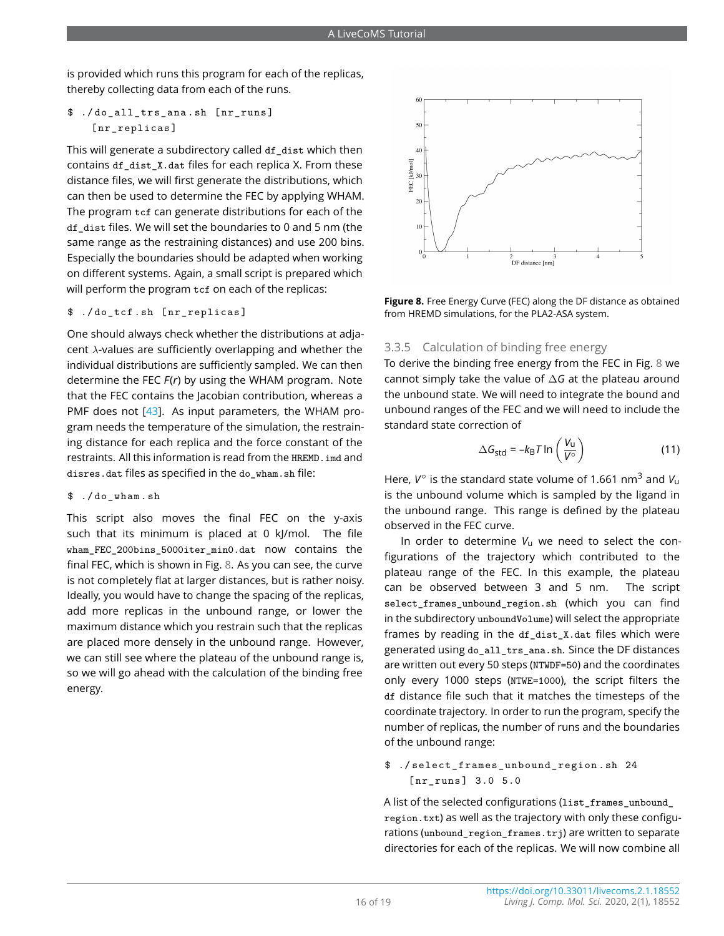is provided which runs this program for each of the replicas, thereby collecting data from each of the runs.

#### \$ ./do all trs ana.sh [nr runs] [nr\_replicas]

This will generate a subdirectory called df dist which then contains df\_dist\_X.dat files for each replica X. From these distance files, we will first generate the distributions, which can then be used to determine the FEC by applying WHAM. The program tcf can generate distributions for each of the df\_dist files. We will set the boundaries to 0 and 5 nm (the same range as the restraining distances) and use 200 bins. Especially the boundaries should be adapted when working on different systems. Again, a small script is prepared which will perform the program tcf on each of the replicas:

\$ ./ do\_tcf . sh [ nr\_replicas ]

One should always check whether the distributions at adjacent λ-values are sufficiently overlapping and whether the individual distributions are sufficiently sampled. We can then determine the FEC *F*(*r*) by using the WHAM program. Note that the FEC contains the Jacobian contribution, whereas a PMF does not  $[43]$ . As input parameters, the WHAM program needs the temperature of the simulation, the restraining distance for each replica and the force constant of the restraints. All this information is read from the HREMD, imd and disres.dat files as specified in the do\_wham.sh file:

\$ ./ do\_wham . sh

This script also moves the final FEC on the y-axis such that its minimum is placed at 0 kJ/mol. The file wham\_FEC\_200bins\_5000iter\_min0.dat now contains the final FEC, which is shown in Fig. [8.](#page-15-0) As you can see, the curve is not completely flat at larger distances, but is rather noisy. Ideally, you would have to change the spacing of the replicas, add more replicas in the unbound range, or lower the maximum distance which you restrain such that the replicas are placed more densely in the unbound range. However, we can still see where the plateau of the unbound range is, so we will go ahead with the calculation of the binding free energy.

<span id="page-15-0"></span>

**Figure 8.** Free Energy Curve (FEC) along the DF distance as obtained from HREMD simulations, for the PLA2-ASA system.

## 3.3.5 Calculation of binding free energy

To derive the binding free energy from the FEC in Fig. [8](#page-15-0) we cannot simply take the value of ∆*G* at the plateau around the unbound state. We will need to integrate the bound and unbound ranges of the FEC and we will need to include the standard state correction of

$$
\Delta G_{\rm std} = -k_{\rm B} T \ln \left( \frac{V_{\rm u}}{V^{\circ}} \right) \tag{11}
$$

Here,  $V^\circ$  is the standard state volume of 1.661 nm<sup>3</sup> and  $V_\mathsf{u}$ is the unbound volume which is sampled by the ligand in the unbound range. This range is defined by the plateau observed in the FEC curve.

In order to determine  $V_{\text{u}}$  we need to select the configurations of the trajectory which contributed to the plateau range of the FEC. In this example, the plateau can be observed between 3 and 5 nm. The script select\_frames\_unbound\_region.sh (which you can find in the subdirectory unboundVolume) will select the appropriate frames by reading in the df\_dist\_X.dat files which were generated using do\_all\_trs\_ana.sh. Since the DF distances are written out every 50 steps (NTWDF=50) and the coordinates only every 1000 steps (NTWE=1000), the script filters the df distance file such that it matches the timesteps of the coordinate trajectory. In order to run the program, specify the number of replicas, the number of runs and the boundaries of the unbound range:

#### \$ ./ select\_frames\_unbound\_region . sh 24  $[nr \text{ runs}]$  3.0 5.0

A list of the selected configurations (list\_frames\_unbound\_ region.txt) as well as the trajectory with only these configurations (unbound\_region\_frames.trj) are written to separate directories for each of the replicas. We will now combine all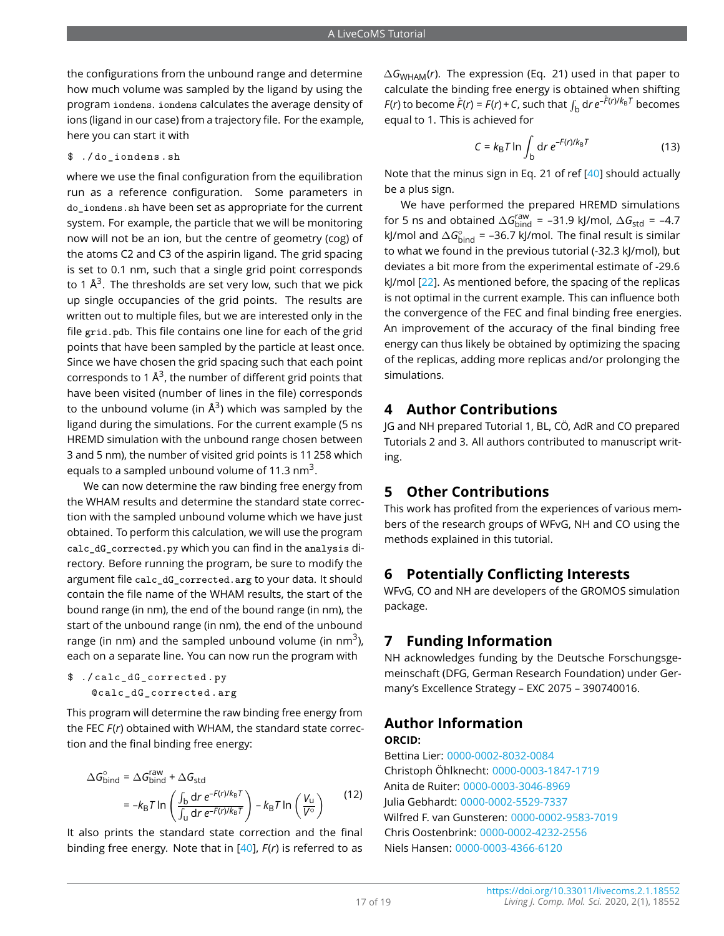the configurations from the unbound range and determine how much volume was sampled by the ligand by using the program iondens. iondens calculates the average density of ions (ligand in our case) from a trajectory file. For the example, here you can start it with

\$ ./ do\_iondens . sh

where we use the final configuration from the equilibration run as a reference configuration. Some parameters in do\_iondens.sh have been set as appropriate for the current system. For example, the particle that we will be monitoring now will not be an ion, but the centre of geometry (cog) of the atoms C2 and C3 of the aspirin ligand. The grid spacing is set to 0.1 nm, such that a single grid point corresponds to 1  $\rm \AA^3.$  The thresholds are set very low, such that we pick up single occupancies of the grid points. The results are written out to multiple files, but we are interested only in the file grid.pdb. This file contains one line for each of the grid points that have been sampled by the particle at least once. Since we have chosen the grid spacing such that each point corresponds to 1  $\text{\AA}^3$ , the number of different grid points that have been visited (number of lines in the file) corresponds to the unbound volume (in  $\mathring{A}^3$ ) which was sampled by the ligand during the simulations. For the current example (5 ns HREMD simulation with the unbound range chosen between 3 and 5 nm), the number of visited grid points is 11 258 which equals to a sampled unbound volume of 11.3  $\text{nm}^3$ .

We can now determine the raw binding free energy from the WHAM results and determine the standard state correction with the sampled unbound volume which we have just obtained. To perform this calculation, we will use the program calc\_dG\_corrected.py which you can find in the analysis directory. Before running the program, be sure to modify the argument file calc\_dG\_corrected.arg to your data. It should contain the file name of the WHAM results, the start of the bound range (in nm), the end of the bound range (in nm), the start of the unbound range (in nm), the end of the unbound range (in nm) and the sampled unbound volume (in nm<sup>3</sup>). each on a separate line. You can now run the program with

\$ ./ calc\_dG\_corrected . py @calc\_dG\_corrected . arg

This program will determine the raw binding free energy from the FEC *F*(*r*) obtained with WHAM, the standard state correction and the final binding free energy:

$$
\Delta G_{\text{bind}}^{\circ} = \Delta G_{\text{bind}}^{\text{raw}} + \Delta G_{\text{std}}
$$

$$
= -k_{\text{B}} T \ln \left( \frac{\int_{\text{b}} \text{d}r \, e^{-F(r)/k_{\text{B}}T}}{\int_{\text{u}} \text{d}r \, e^{-F(r)/k_{\text{B}}T}} \right) - k_{\text{B}} T \ln \left( \frac{V_{\text{u}}}{V^{\circ}} \right) \tag{12}
$$

It also prints the standard state correction and the final binding free energy. Note that in [\[40\]](#page-18-14), *F*(*r*) is referred to as ∆*G*WHAM(*r*). The expression (Eq. 21) used in that paper to calculate the binding free energy is obtained when shifting *F*(*r*) to become  $\hat{F}(r) = F(r) + C$ , such that  $\int_{b} dr e^{-\hat{F}(r)/k_{B}T}$  becomes equal to 1. This is achieved for

$$
C = k_{\text{B}} T \ln \int_{\text{b}} \text{d}r \, e^{-F(r)/k_{\text{B}}T} \tag{13}
$$

Note that the minus sign in Eq. 21 of ref [\[40\]](#page-18-14) should actually be a plus sign.

We have performed the prepared HREMD simulations for 5 ns and obtained  $\Delta G_{\rm bind}^{\rm raw}$  = –31.9 kJ/mol,  $\Delta G_{\rm std}$  = –4.7 kJ/mol and ∆G<sub>bind</sub> = –36.7 kJ/mol. The final result is similar to what we found in the previous tutorial (-32.3 kJ/mol), but deviates a bit more from the experimental estimate of -29.6 kJ/mol [\[22\]](#page-17-21). As mentioned before, the spacing of the replicas is not optimal in the current example. This can influence both the convergence of the FEC and final binding free energies. An improvement of the accuracy of the final binding free energy can thus likely be obtained by optimizing the spacing of the replicas, adding more replicas and/or prolonging the simulations.

## **4 Author Contributions**

JG and NH prepared Tutorial 1, BL, CÖ, AdR and CO prepared Tutorials 2 and 3. All authors contributed to manuscript writing.

## **5 Other Contributions**

This work has profited from the experiences of various members of the research groups of WFvG, NH and CO using the methods explained in this tutorial.

## **6 Potentially Conflicting Interests**

WFvG, CO and NH are developers of the GROMOS simulation package.

## **7 Funding Information**

NH acknowledges funding by the Deutsche Forschungsgemeinschaft (DFG, German Research Foundation) under Germany's Excellence Strategy – EXC 2075 – 390740016.

## **Author Information**

**ORCID:**

Bettina Lier: [0000-0002-8032-0084](https://orcid.org/0000-0002-8032-0084) Christoph Öhlknecht: [0000-0003-1847-1719](https://orcid.org/0000-0003-1847-1719) Anita de Ruiter: [0000-0003-3046-8969](https://orcid.org/0000-0003-3046-8969) Julia Gebhardt: [0000-0002-5529-7337](https://orcid.org/0000-0002-5529-7337) Wilfred F. van Gunsteren: [0000-0002-9583-7019](https://orcid.org/0000-0002-9583-7019) Chris Oostenbrink: [0000-0002-4232-2556](https://orcid.org/0000-0002-4232-2556) Niels Hansen: [0000-0003-4366-6120](https://orcid.org/0000-0003-4366-6120)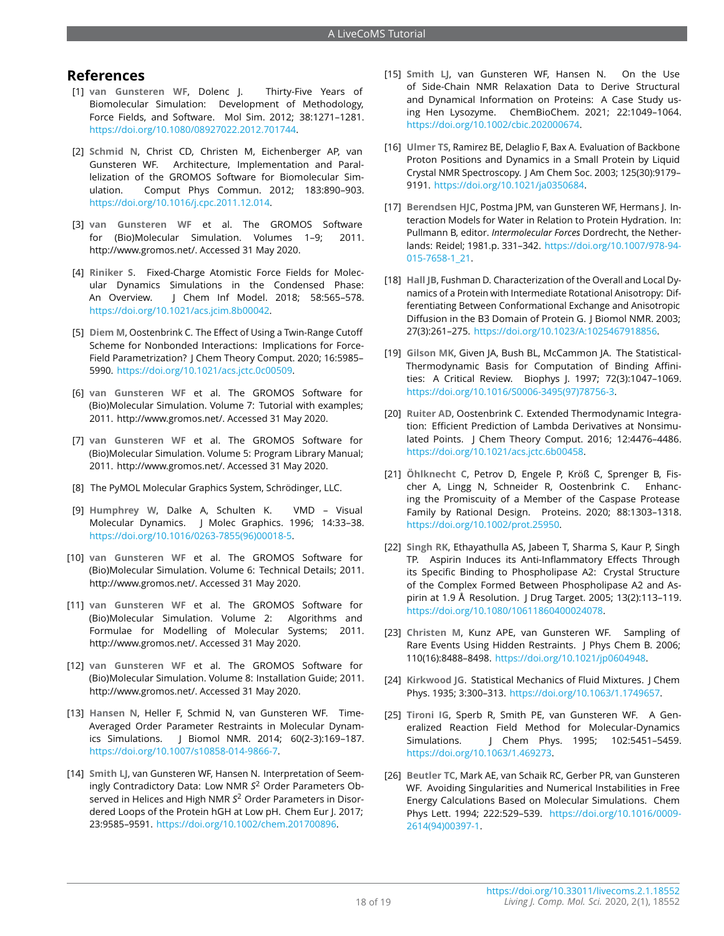## **References**

- <span id="page-17-0"></span>[1] **van Gunsteren WF**, Dolenc J. Thirty-Five Years of Biomolecular Simulation: Development of Methodology, Force Fields, and Software. Mol Sim. 2012; 38:1271–1281. [https://doi.org/10.1080/08927022.2012.701744.](https://doi.org/10.1080/08927022.2012.701744)
- <span id="page-17-1"></span>[2] **Schmid N**, Christ CD, Christen M, Eichenberger AP, van Gunsteren WF. Architecture, Implementation and Parallelization of the GROMOS Software for Biomolecular Simulation. Comput Phys Commun. 2012; 183:890–903. [https://doi.org/10.1016/j.cpc.2011.12.014.](https://doi.org/10.1016/j.cpc.2011.12.014)
- <span id="page-17-2"></span>[3] **van Gunsteren WF** et al. The GROMOS Software for (Bio)Molecular Simulation. Volumes 1–9; 2011. http://www.gromos.net/. Accessed 31 May 2020.
- <span id="page-17-3"></span>[4] **Riniker S**. Fixed-Charge Atomistic Force Fields for Molecular Dynamics Simulations in the Condensed Phase: An Overview. J Chem Inf Model. 2018; 58:565–578. [https://doi.org/10.1021/acs.jcim.8b00042.](https://doi.org/10.1021/acs.jcim.8b00042)
- <span id="page-17-4"></span>[5] **Diem M**, Oostenbrink C. The Effect of Using a Twin-Range Cutoff Scheme for Nonbonded Interactions: Implications for Force-Field Parametrization? J Chem Theory Comput. 2020; 16:5985– 5990. [https://doi.org/10.1021/acs.jctc.0c00509.](https://doi.org/10.1021/acs.jctc.0c00509)
- <span id="page-17-5"></span>[6] **van Gunsteren WF** et al. The GROMOS Software for (Bio)Molecular Simulation. Volume 7: Tutorial with examples; 2011. http://www.gromos.net/. Accessed 31 May 2020.
- <span id="page-17-6"></span>[7] **van Gunsteren WF** et al. The GROMOS Software for (Bio)Molecular Simulation. Volume 5: Program Library Manual; 2011. http://www.gromos.net/. Accessed 31 May 2020.
- <span id="page-17-7"></span>[8] The PyMOL Molecular Graphics System, Schrödinger, LLC.
- <span id="page-17-8"></span>[9] **Humphrey W**, Dalke A, Schulten K. VMD – Visual Molecular Dynamics. J Molec Graphics. 1996; 14:33–38. [https://doi.org/10.1016/0263-7855\(96\)00018-5.](https://doi.org/10.1016/0263-7855(96)00018-5)
- <span id="page-17-9"></span>[10] **van Gunsteren WF** et al. The GROMOS Software for (Bio)Molecular Simulation. Volume 6: Technical Details; 2011. http://www.gromos.net/. Accessed 31 May 2020.
- <span id="page-17-10"></span>[11] **van Gunsteren WF** et al. The GROMOS Software for (Bio)Molecular Simulation. Volume 2: Algorithms and Formulae for Modelling of Molecular Systems; 2011. http://www.gromos.net/. Accessed 31 May 2020.
- <span id="page-17-11"></span>[12] **van Gunsteren WF** et al. The GROMOS Software for (Bio)Molecular Simulation. Volume 8: Installation Guide; 2011. http://www.gromos.net/. Accessed 31 May 2020.
- <span id="page-17-12"></span>[13] **Hansen N**, Heller F, Schmid N, van Gunsteren WF. Time-Averaged Order Parameter Restraints in Molecular Dynamics Simulations. J Biomol NMR. 2014; 60(2-3):169–187. [https://doi.org/10.1007/s10858-014-9866-7.](https://doi.org/10.1007/s10858-014-9866-7)
- <span id="page-17-13"></span>[14] **Smith LJ**, van Gunsteren WF, Hansen N. Interpretation of Seemingly Contradictory Data: Low NMR *S* <sup>2</sup> Order Parameters Observed in Helices and High NMR *S* <sup>2</sup> Order Parameters in Disordered Loops of the Protein hGH at Low pH. Chem Eur J. 2017; 23:9585–9591. [https://doi.org/10.1002/chem.201700896.](https://doi.org/10.1002/chem.201700896)
- <span id="page-17-14"></span>[15] **Smith LJ**, van Gunsteren WF, Hansen N. On the Use of Side-Chain NMR Relaxation Data to Derive Structural and Dynamical Information on Proteins: A Case Study using Hen Lysozyme. ChemBioChem. 2021; 22:1049–1064. [https://doi.org/10.1002/cbic.202000674.](https://doi.org/10.1002/cbic.202000674)
- <span id="page-17-15"></span>[16] **Ulmer TS**, Ramirez BE, Delaglio F, Bax A. Evaluation of Backbone Proton Positions and Dynamics in a Small Protein by Liquid Crystal NMR Spectroscopy. J Am Chem Soc. 2003; 125(30):9179– 9191. [https://doi.org/10.1021/ja0350684.](https://doi.org/10.1021/ja0350684)
- <span id="page-17-16"></span>[17] **Berendsen HJC**, Postma JPM, van Gunsteren WF, Hermans J. Interaction Models for Water in Relation to Protein Hydration. In: Pullmann B, editor. *Intermolecular Forces* Dordrecht, the Netherlands: Reidel; 1981.p. 331–342. [https://doi.org/10.1007/978-94-](https://doi.org/10.1007/978-94-015-7658-1_21) [015-7658-1\\_21.](https://doi.org/10.1007/978-94-015-7658-1_21)
- <span id="page-17-17"></span>[18] **Hall JB**, Fushman D. Characterization of the Overall and Local Dynamics of a Protein with Intermediate Rotational Anisotropy: Differentiating Between Conformational Exchange and Anisotropic Diffusion in the B3 Domain of Protein G. J Biomol NMR. 2003; 27(3):261–275. [https://doi.org/10.1023/A:1025467918856.](https://doi.org/10.1023/A:1025467918856)
- <span id="page-17-18"></span>[19] **Gilson MK**, Given JA, Bush BL, McCammon JA. The Statistical-Thermodynamic Basis for Computation of Binding Affinities: A Critical Review. Biophys J. 1997; 72(3):1047–1069. [https://doi.org/10.1016/S0006-3495\(97\)78756-3.](https://doi.org/10.1016/S0006-3495(97)78756-3)
- <span id="page-17-19"></span>[20] **Ruiter AD**, Oostenbrink C. Extended Thermodynamic Integration: Efficient Prediction of Lambda Derivatives at Nonsimulated Points. J Chem Theory Comput. 2016; 12:4476–4486. [https://doi.org/10.1021/acs.jctc.6b00458.](https://doi.org/10.1021/acs.jctc.6b00458)
- <span id="page-17-20"></span>[21] **Öhlknecht C**, Petrov D, Engele P, Kröß C, Sprenger B, Fischer A, Lingg N, Schneider R, Oostenbrink C. Enhancing the Promiscuity of a Member of the Caspase Protease Family by Rational Design. Proteins. 2020; 88:1303–1318. [https://doi.org/10.1002/prot.25950.](https://doi.org/10.1002/prot.25950)
- <span id="page-17-21"></span>[22] **Singh RK**, Ethayathulla AS, Jabeen T, Sharma S, Kaur P, Singh TP. Aspirin Induces its Anti-Inflammatory Effects Through its Specific Binding to Phospholipase A2: Crystal Structure of the Complex Formed Between Phospholipase A2 and Aspirin at 1.9 Å Resolution. J Drug Target. 2005; 13(2):113–119. [https://doi.org/10.1080/10611860400024078.](https://doi.org/10.1080/10611860400024078)
- <span id="page-17-22"></span>[23] **Christen M**, Kunz APE, van Gunsteren WF. Sampling of Rare Events Using Hidden Restraints. J Phys Chem B. 2006; 110(16):8488–8498. [https://doi.org/10.1021/jp0604948.](https://doi.org/10.1021/jp0604948)
- <span id="page-17-23"></span>[24] **Kirkwood JG**. Statistical Mechanics of Fluid Mixtures. J Chem Phys. 1935; 3:300–313. [https://doi.org/10.1063/1.1749657.](https://doi.org/10.1063/1.1749657)
- <span id="page-17-24"></span>[25] **Tironi IG**, Sperb R, Smith PE, van Gunsteren WF. A Generalized Reaction Field Method for Molecular-Dynamics Simulations. J Chem Phys. 1995; 102:5451–5459. [https://doi.org/10.1063/1.469273.](https://doi.org/10.1063/1.469273)
- <span id="page-17-25"></span>[26] **Beutler TC**, Mark AE, van Schaik RC, Gerber PR, van Gunsteren WF. Avoiding Singularities and Numerical Instabilities in Free Energy Calculations Based on Molecular Simulations. Chem Phys Lett. 1994; 222:529–539. [https://doi.org/10.1016/0009-](https://doi.org/10.1016/0009-2614(94)00397-1) [2614\(94\)00397-1.](https://doi.org/10.1016/0009-2614(94)00397-1)